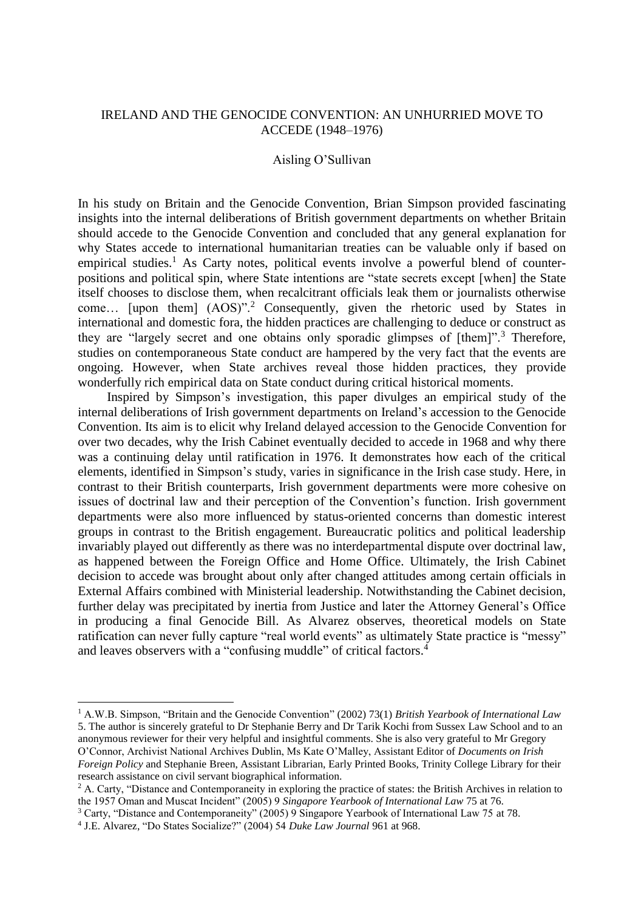## IRELAND AND THE GENOCIDE CONVENTION: AN UNHURRIED MOVE TO ACCEDE (1948–1976)

### Aisling O'Sullivan

In his study on Britain and the Genocide Convention, Brian Simpson provided fascinating insights into the internal deliberations of British government departments on whether Britain should accede to the Genocide Convention and concluded that any general explanation for why States accede to international humanitarian treaties can be valuable only if based on empirical studies.<sup>1</sup> As Carty notes, political events involve a powerful blend of counterpositions and political spin, where State intentions are "state secrets except [when] the State itself chooses to disclose them, when recalcitrant officials leak them or journalists otherwise come… [upon them] (AOS)".<sup>2</sup> Consequently, given the rhetoric used by States in international and domestic fora, the hidden practices are challenging to deduce or construct as they are "largely secret and one obtains only sporadic glimpses of  $[them]$ ".<sup>3</sup> Therefore, studies on contemporaneous State conduct are hampered by the very fact that the events are ongoing. However, when State archives reveal those hidden practices, they provide wonderfully rich empirical data on State conduct during critical historical moments.

Inspired by Simpson's investigation, this paper divulges an empirical study of the internal deliberations of Irish government departments on Ireland's accession to the Genocide Convention. Its aim is to elicit why Ireland delayed accession to the Genocide Convention for over two decades, why the Irish Cabinet eventually decided to accede in 1968 and why there was a continuing delay until ratification in 1976. It demonstrates how each of the critical elements, identified in Simpson's study, varies in significance in the Irish case study. Here, in contrast to their British counterparts, Irish government departments were more cohesive on issues of doctrinal law and their perception of the Convention's function. Irish government departments were also more influenced by status-oriented concerns than domestic interest groups in contrast to the British engagement. Bureaucratic politics and political leadership invariably played out differently as there was no interdepartmental dispute over doctrinal law, as happened between the Foreign Office and Home Office. Ultimately, the Irish Cabinet decision to accede was brought about only after changed attitudes among certain officials in External Affairs combined with Ministerial leadership. Notwithstanding the Cabinet decision, further delay was precipitated by inertia from Justice and later the Attorney General's Office in producing a final Genocide Bill. As Alvarez observes, theoretical models on State ratification can never fully capture "real world events" as ultimately State practice is "messy" and leaves observers with a "confusing muddle" of critical factors.<sup>4</sup>

<sup>1</sup> A.W.B. Simpson, "Britain and the Genocide Convention" (2002) 73(1) *British Yearbook of International Law* 5. The author is sincerely grateful to Dr Stephanie Berry and Dr Tarik Kochi from Sussex Law School and to an anonymous reviewer for their very helpful and insightful comments. She is also very grateful to Mr Gregory O'Connor, Archivist National Archives Dublin, Ms Kate O'Malley, Assistant Editor of *Documents on Irish Foreign Policy* and Stephanie Breen, Assistant Librarian, Early Printed Books, Trinity College Library for their research assistance on civil servant biographical information.

<sup>&</sup>lt;sup>2</sup> A. Carty, "Distance and Contemporaneity in exploring the practice of states: the British Archives in relation to the 1957 Oman and Muscat Incident" (2005) 9 *Singapore Yearbook of International Law* 75 at 76.

<sup>3</sup> Carty, "Distance and Contemporaneity" (2005) 9 Singapore Yearbook of International Law 75 at 78.

<sup>4</sup> J.E. Alvarez, "Do States Socialize?" (2004) 54 *Duke Law Journal* 961 at 968.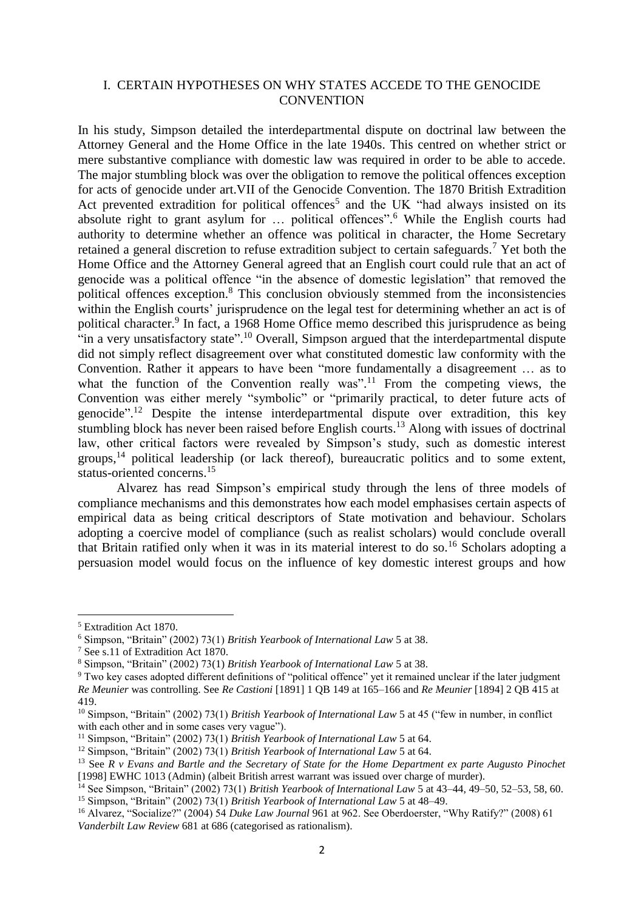### I. CERTAIN HYPOTHESES ON WHY STATES ACCEDE TO THE GENOCIDE **CONVENTION**

In his study, Simpson detailed the interdepartmental dispute on doctrinal law between the Attorney General and the Home Office in the late 1940s. This centred on whether strict or mere substantive compliance with domestic law was required in order to be able to accede. The major stumbling block was over the obligation to remove the political offences exception for acts of genocide under art.VII of the Genocide Convention. The 1870 British Extradition Act prevented extradition for political offences<sup>5</sup> and the UK "had always insisted on its absolute right to grant asylum for … political offences". <sup>6</sup> While the English courts had authority to determine whether an offence was political in character, the Home Secretary retained a general discretion to refuse extradition subject to certain safeguards.<sup>7</sup> Yet both the Home Office and the Attorney General agreed that an English court could rule that an act of genocide was a political offence "in the absence of domestic legislation" that removed the political offences exception.<sup>8</sup> This conclusion obviously stemmed from the inconsistencies within the English courts' jurisprudence on the legal test for determining whether an act is of political character.<sup>9</sup> In fact, a 1968 Home Office memo described this jurisprudence as being "in a very unsatisfactory state".<sup>10</sup> Overall, Simpson argued that the interdepartmental dispute did not simply reflect disagreement over what constituted domestic law conformity with the Convention. Rather it appears to have been "more fundamentally a disagreement … as to what the function of the Convention really was".<sup>11</sup> From the competing views, the Convention was either merely "symbolic" or "primarily practical, to deter future acts of genocide". <sup>12</sup> Despite the intense interdepartmental dispute over extradition, this key stumbling block has never been raised before English courts.<sup>13</sup> Along with issues of doctrinal law, other critical factors were revealed by Simpson's study, such as domestic interest groups,<sup>14</sup> political leadership (or lack thereof), bureaucratic politics and to some extent, status-oriented concerns.<sup>15</sup>

Alvarez has read Simpson's empirical study through the lens of three models of compliance mechanisms and this demonstrates how each model emphasises certain aspects of empirical data as being critical descriptors of State motivation and behaviour. Scholars adopting a coercive model of compliance (such as realist scholars) would conclude overall that Britain ratified only when it was in its material interest to do so.<sup>16</sup> Scholars adopting a persuasion model would focus on the influence of key domestic interest groups and how

<sup>5</sup> Extradition Act 1870.

<sup>6</sup> Simpson, "Britain" (2002) 73(1) *British Yearbook of International Law* 5 at 38.

<sup>7</sup> See s.11 of Extradition Act 1870.

<sup>8</sup> Simpson, "Britain" (2002) 73(1) *British Yearbook of International Law* 5 at 38.

<sup>9</sup> Two key cases adopted different definitions of "political offence" yet it remained unclear if the later judgment *Re Meunier* was controlling. See *Re Castioni* [1891] 1 QB 149 at 165–166 and *Re Meunier* [1894] 2 QB 415 at 419.

<sup>&</sup>lt;sup>10</sup> Simpson, "Britain" (2002) 73(1) *British Yearbook of International Law* 5 at 45 ("few in number, in conflict with each other and in some cases very vague").

<sup>11</sup> Simpson, "Britain" (2002) 73(1) *British Yearbook of International Law* 5 at 64.

<sup>12</sup> Simpson, "Britain" (2002) 73(1) *British Yearbook of International Law* 5 at 64.

<sup>13</sup> See *R v Evans and Bartle and the Secretary of State for the Home Department ex parte Augusto Pinochet*  [1998] EWHC 1013 (Admin) (albeit British arrest warrant was issued over charge of murder).

<sup>14</sup> See Simpson, "Britain" (2002) 73(1) *British Yearbook of International Law* 5 at 43–44, 49–50, 52–53, 58, 60. <sup>15</sup> Simpson, "Britain" (2002) 73(1) *British Yearbook of International Law* 5 at 48–49.

<sup>16</sup> Alvarez, "Socialize?" (2004) 54 *Duke Law Journal* 961 at 962. See Oberdoerster, "Why Ratify?" (2008) 61 *Vanderbilt Law Review* 681 at 686 (categorised as rationalism).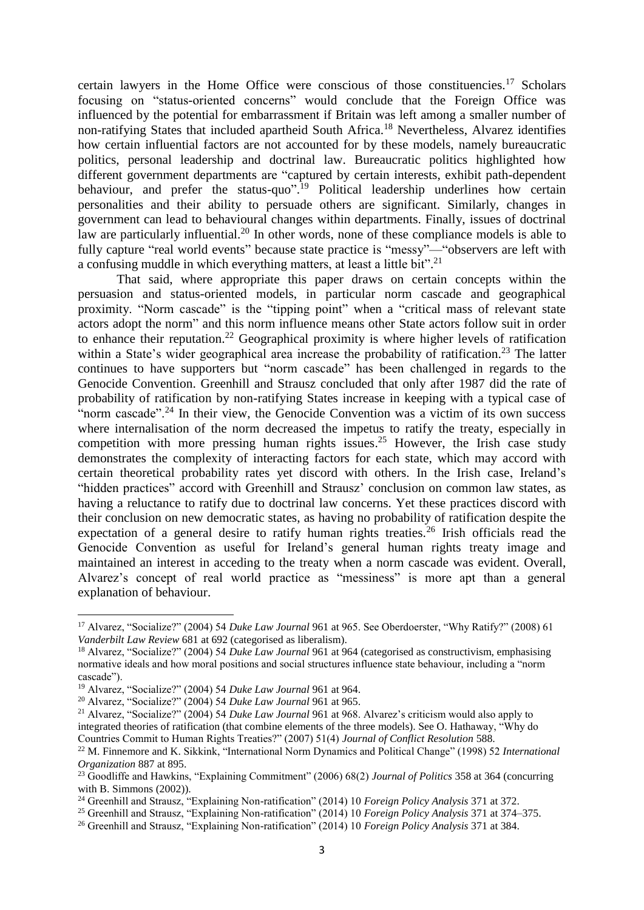certain lawyers in the Home Office were conscious of those constituencies.<sup>17</sup> Scholars focusing on "status-oriented concerns" would conclude that the Foreign Office was influenced by the potential for embarrassment if Britain was left among a smaller number of non-ratifying States that included apartheid South Africa. <sup>18</sup> Nevertheless, Alvarez identifies how certain influential factors are not accounted for by these models, namely bureaucratic politics, personal leadership and doctrinal law. Bureaucratic politics highlighted how different government departments are "captured by certain interests, exhibit path-dependent behaviour, and prefer the status-quo".<sup>19</sup> Political leadership underlines how certain personalities and their ability to persuade others are significant. Similarly, changes in government can lead to behavioural changes within departments. Finally, issues of doctrinal law are particularly influential.<sup>20</sup> In other words, none of these compliance models is able to fully capture "real world events" because state practice is "messy"—"observers are left with a confusing muddle in which everything matters, at least a little bit". 21

That said, where appropriate this paper draws on certain concepts within the persuasion and status-oriented models, in particular norm cascade and geographical proximity. "Norm cascade" is the "tipping point" when a "critical mass of relevant state actors adopt the norm" and this norm influence means other State actors follow suit in order to enhance their reputation.<sup>22</sup> Geographical proximity is where higher levels of ratification within a State's wider geographical area increase the probability of ratification.<sup>23</sup> The latter continues to have supporters but "norm cascade" has been challenged in regards to the Genocide Convention. Greenhill and Strausz concluded that only after 1987 did the rate of probability of ratification by non-ratifying States increase in keeping with a typical case of "norm cascade".<sup>24</sup> In their view, the Genocide Convention was a victim of its own success where internalisation of the norm decreased the impetus to ratify the treaty, especially in competition with more pressing human rights issues.<sup>25</sup> However, the Irish case study demonstrates the complexity of interacting factors for each state, which may accord with certain theoretical probability rates yet discord with others. In the Irish case, Ireland's "hidden practices" accord with Greenhill and Strausz' conclusion on common law states, as having a reluctance to ratify due to doctrinal law concerns. Yet these practices discord with their conclusion on new democratic states, as having no probability of ratification despite the expectation of a general desire to ratify human rights treaties.<sup>26</sup> Irish officials read the Genocide Convention as useful for Ireland's general human rights treaty image and maintained an interest in acceding to the treaty when a norm cascade was evident. Overall, Alvarez's concept of real world practice as "messiness" is more apt than a general explanation of behaviour.

<sup>17</sup> Alvarez, "Socialize?" (2004) 54 *Duke Law Journal* 961 at 965. See Oberdoerster, "Why Ratify?" (2008) 61 *Vanderbilt Law Review* 681 at 692 (categorised as liberalism).

<sup>18</sup> Alvarez, "Socialize?" (2004) 54 *Duke Law Journal* 961 at 964 (categorised as constructivism, emphasising normative ideals and how moral positions and social structures influence state behaviour, including a "norm cascade").

<sup>19</sup> Alvarez, "Socialize?" (2004) 54 *Duke Law Journal* 961 at 964.

<sup>20</sup> Alvarez, "Socialize?" (2004) 54 *Duke Law Journal* 961 at 965.

<sup>21</sup> Alvarez, "Socialize?" (2004) 54 *Duke Law Journal* 961 at 968. Alvarez's criticism would also apply to integrated theories of ratification (that combine elements of the three models). See O. Hathaway, "Why do Countries Commit to Human Rights Treaties?" (2007) 51(4) *Journal of Conflict Resolution* 588.

<sup>22</sup> M. Finnemore and K. Sikkink, "International Norm Dynamics and Political Change" (1998) 52 *International Organization* 887 at 895.

<sup>23</sup> Goodliffe and Hawkins, "Explaining Commitment" (2006) 68(2) *Journal of Politics* 358 at 364 (concurring with B. Simmons (2002)).

<sup>24</sup> Greenhill and Strausz, "Explaining Non-ratification" (2014) 10 *Foreign Policy Analysis* 371 at 372.

<sup>25</sup> Greenhill and Strausz, "Explaining Non-ratification" (2014) 10 *Foreign Policy Analysis* 371 at 374–375.

<sup>26</sup> Greenhill and Strausz, "Explaining Non-ratification" (2014) 10 *Foreign Policy Analysis* 371 at 384.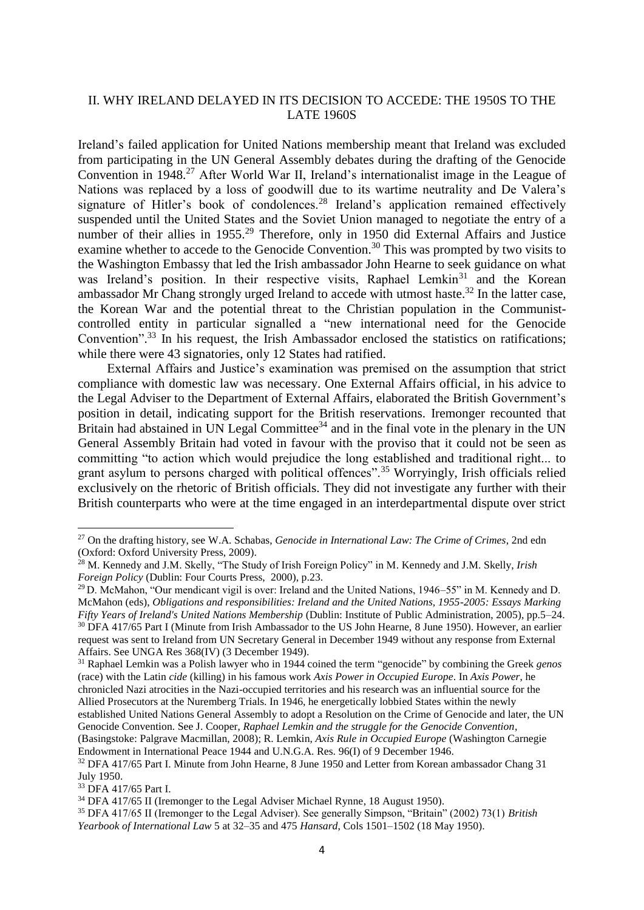# II. WHY IRELAND DELAYED IN ITS DECISION TO ACCEDE: THE 1950S TO THE LATE 1960S

Ireland's failed application for United Nations membership meant that Ireland was excluded from participating in the UN General Assembly debates during the drafting of the Genocide Convention in 1948.<sup>27</sup> After World War II, Ireland's internationalist image in the League of Nations was replaced by a loss of goodwill due to its wartime neutrality and De Valera's signature of Hitler's book of condolences.<sup>28</sup> Ireland's application remained effectively suspended until the United States and the Soviet Union managed to negotiate the entry of a number of their allies in 1955.<sup>29</sup> Therefore, only in 1950 did External Affairs and Justice examine whether to accede to the Genocide Convention.<sup>30</sup> This was prompted by two visits to the Washington Embassy that led the Irish ambassador John Hearne to seek guidance on what was Ireland's position. In their respective visits, Raphael Lemkin<sup>31</sup> and the Korean ambassador Mr Chang strongly urged Ireland to accede with utmost haste.<sup>32</sup> In the latter case, the Korean War and the potential threat to the Christian population in the Communistcontrolled entity in particular signalled a "new international need for the Genocide Convention".<sup>33</sup> In his request, the Irish Ambassador enclosed the statistics on ratifications; while there were 43 signatories, only 12 States had ratified.

External Affairs and Justice's examination was premised on the assumption that strict compliance with domestic law was necessary. One External Affairs official, in his advice to the Legal Adviser to the Department of External Affairs, elaborated the British Government's position in detail, indicating support for the British reservations. Iremonger recounted that Britain had abstained in UN Legal Committee<sup>34</sup> and in the final vote in the plenary in the UN General Assembly Britain had voted in favour with the proviso that it could not be seen as committing "to action which would prejudice the long established and traditional right... to grant asylum to persons charged with political offences".<sup>35</sup> Worryingly, Irish officials relied exclusively on the rhetoric of British officials. They did not investigate any further with their British counterparts who were at the time engaged in an interdepartmental dispute over strict

<sup>31</sup> Raphael Lemkin was a Polish lawyer who in 1944 coined the term "genocide" by combining the Greek *genos* (race) with the Latin *cide* (killing) in his famous work *Axis Power in Occupied Europe*. In *Axis Power*, he chronicled Nazi atrocities in the Nazi-occupied territories and his research was an influential source for the Allied Prosecutors at the Nuremberg Trials. In 1946, he energetically lobbied States within the newly

<sup>27</sup> On the drafting history, see W.A. Schabas, *Genocide in International Law: The Crime of Crimes*, 2nd edn (Oxford: Oxford University Press, 2009).

<sup>28</sup> M. Kennedy and J.M. Skelly, "The Study of Irish Foreign Policy" in M. Kennedy and J.M. Skelly, *Irish Foreign Policy* (Dublin: Four Courts Press, 2000), p.23.

<sup>&</sup>lt;sup>29</sup> D. McMahon, "Our mendicant vigil is over: Ireland and the United Nations, 1946–55" in M. Kennedy and D. McMahon (eds), *Obligations and responsibilities: Ireland and the United Nations, 1955-2005: Essays Marking Fifty Years of Ireland's United Nations Membership* (Dublin: Institute of Public Administration, 2005), pp.5–24. <sup>30</sup> DFA 417/65 Part I (Minute from Irish Ambassador to the US John Hearne, 8 June 1950). However, an earlier request was sent to Ireland from UN Secretary General in December 1949 without any response from External Affairs. See UNGA Res 368(IV) (3 December 1949).

established United Nations General Assembly to adopt a Resolution on the Crime of Genocide and later, the UN Genocide Convention. See J. Cooper, *Raphael Lemkin and the struggle for the Genocide Convention*, (Basingstoke: Palgrave Macmillan, 2008); R. Lemkin, *Axis Rule in Occupied Europe* (Washington Carnegie

Endowment in International Peace 1944 and U.N.G.A. Res. 96(I) of 9 December 1946.

<sup>&</sup>lt;sup>32</sup> DFA 417/65 Part I. Minute from John Hearne, 8 June 1950 and Letter from Korean ambassador Chang 31 July 1950.

<sup>33</sup> DFA 417/65 Part I.

<sup>&</sup>lt;sup>34</sup> DFA 417/65 II (Iremonger to the Legal Adviser Michael Rynne, 18 August 1950).

<sup>35</sup> DFA 417/65 II (Iremonger to the Legal Adviser). See generally Simpson, "Britain" (2002) 73(1) *British Yearbook of International Law* 5 at 32–35 and 475 *Hansard*, Cols 1501–1502 (18 May 1950).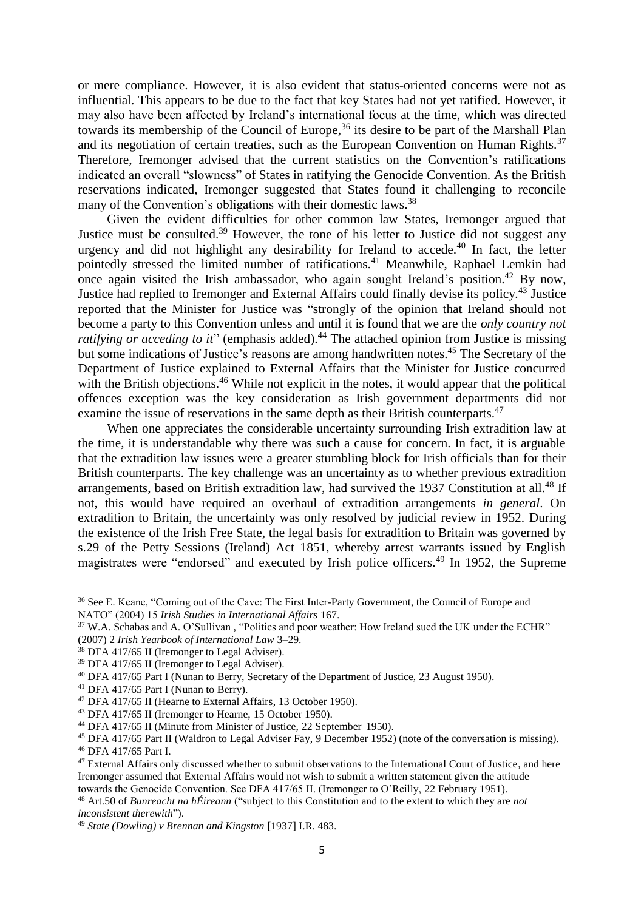or mere compliance. However, it is also evident that status-oriented concerns were not as influential. This appears to be due to the fact that key States had not yet ratified. However, it may also have been affected by Ireland's international focus at the time, which was directed towards its membership of the Council of Europe,<sup>36</sup> its desire to be part of the Marshall Plan and its negotiation of certain treaties, such as the European Convention on Human Rights.<sup>37</sup> Therefore, Iremonger advised that the current statistics on the Convention's ratifications indicated an overall "slowness" of States in ratifying the Genocide Convention. As the British reservations indicated, Iremonger suggested that States found it challenging to reconcile many of the Convention's obligations with their domestic laws.<sup>38</sup>

Given the evident difficulties for other common law States, Iremonger argued that Justice must be consulted.<sup>39</sup> However, the tone of his letter to Justice did not suggest any urgency and did not highlight any desirability for Ireland to accede.<sup>40</sup> In fact, the letter pointedly stressed the limited number of ratifications.<sup>41</sup> Meanwhile, Raphael Lemkin had once again visited the Irish ambassador, who again sought Ireland's position.<sup>42</sup> By now, Justice had replied to Iremonger and External Affairs could finally devise its policy.<sup>43</sup> Justice reported that the Minister for Justice was "strongly of the opinion that Ireland should not become a party to this Convention unless and until it is found that we are the *only country not ratifying or acceding to it*" (emphasis added).<sup>44</sup> The attached opinion from Justice is missing but some indications of Justice's reasons are among handwritten notes.<sup>45</sup> The Secretary of the Department of Justice explained to External Affairs that the Minister for Justice concurred with the British objections.<sup>46</sup> While not explicit in the notes, it would appear that the political offences exception was the key consideration as Irish government departments did not examine the issue of reservations in the same depth as their British counterparts.<sup>47</sup>

When one appreciates the considerable uncertainty surrounding Irish extradition law at the time, it is understandable why there was such a cause for concern. In fact, it is arguable that the extradition law issues were a greater stumbling block for Irish officials than for their British counterparts. The key challenge was an uncertainty as to whether previous extradition arrangements, based on British extradition law, had survived the 1937 Constitution at all.<sup>48</sup> If not, this would have required an overhaul of extradition arrangements *in general*. On extradition to Britain, the uncertainty was only resolved by judicial review in 1952. During the existence of the Irish Free State, the legal basis for extradition to Britain was governed by s.29 of the Petty Sessions (Ireland) Act 1851, whereby arrest warrants issued by English magistrates were "endorsed" and executed by Irish police officers.<sup>49</sup> In 1952, the Supreme

<sup>41</sup> DFA 417/65 Part I (Nunan to Berry).

<sup>36</sup> See E. Keane, "Coming out of the Cave: The First Inter-Party Government, the Council of Europe and NATO" (2004) 15 *Irish Studies in International Affairs* 167.

<sup>&</sup>lt;sup>37</sup> W.A. Schabas and A. O'Sullivan, "Politics and poor weather: How Ireland sued the UK under the ECHR" (2007) 2 *Irish Yearbook of International Law* 3–29.

<sup>&</sup>lt;sup>38</sup> DFA 417/65 II (Iremonger to Legal Adviser).

<sup>&</sup>lt;sup>39</sup> DFA 417/65 II (Iremonger to Legal Adviser).

<sup>40</sup> DFA 417/65 Part I (Nunan to Berry, Secretary of the Department of Justice, 23 August 1950).

<sup>42</sup> DFA 417/65 II (Hearne to External Affairs, 13 October 1950).

<sup>43</sup> DFA 417/65 II (Iremonger to Hearne, 15 October 1950).

<sup>44</sup> DFA 417/65 II (Minute from Minister of Justice, 22 September 1950).

<sup>45</sup> DFA 417/65 Part II (Waldron to Legal Adviser Fay, 9 December 1952) (note of the conversation is missing). <sup>46</sup> DFA 417/65 Part I.

<sup>&</sup>lt;sup>47</sup> External Affairs only discussed whether to submit observations to the International Court of Justice, and here Iremonger assumed that External Affairs would not wish to submit a written statement given the attitude towards the Genocide Convention. See DFA 417/65 II. (Iremonger to O'Reilly, 22 February 1951).

<sup>48</sup> Art.50 of *Bunreacht na hÉireann* ("subject to this Constitution and to the extent to which they are *not inconsistent therewith*").

<sup>49</sup> *State (Dowling) v Brennan and Kingston* [1937] I.R. 483.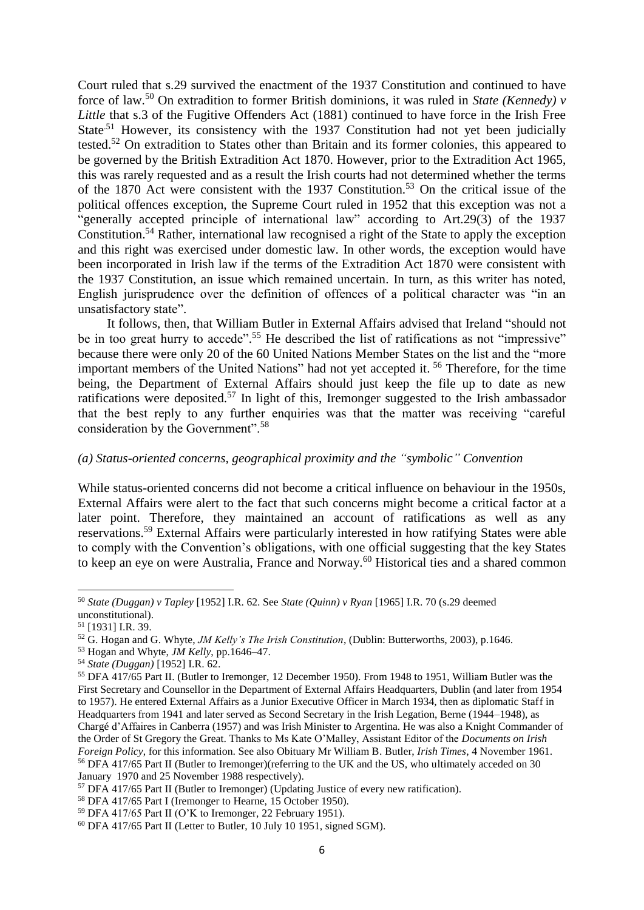Court ruled that s.29 survived the enactment of the 1937 Constitution and continued to have force of law.<sup>50</sup> On extradition to former British dominions, it was ruled in *State (Kennedy) v Little* that s.3 of the Fugitive Offenders Act (1881) continued to have force in the Irish Free State<sup>.51</sup> However, its consistency with the 1937 Constitution had not yet been judicially tested.<sup>52</sup> On extradition to States other than Britain and its former colonies, this appeared to be governed by the British Extradition Act 1870. However, prior to the Extradition Act 1965, this was rarely requested and as a result the Irish courts had not determined whether the terms of the 1870 Act were consistent with the 1937 Constitution.<sup>53</sup> On the critical issue of the political offences exception, the Supreme Court ruled in 1952 that this exception was not a "generally accepted principle of international law" according to Art.29(3) of the 1937 Constitution.<sup>54</sup> Rather, international law recognised a right of the State to apply the exception and this right was exercised under domestic law. In other words, the exception would have been incorporated in Irish law if the terms of the Extradition Act 1870 were consistent with the 1937 Constitution, an issue which remained uncertain. In turn, as this writer has noted, English jurisprudence over the definition of offences of a political character was "in an unsatisfactory state".

It follows, then, that William Butler in External Affairs advised that Ireland "should not be in too great hurry to accede".<sup>55</sup> He described the list of ratifications as not "impressive" because there were only 20 of the 60 United Nations Member States on the list and the "more important members of the United Nations" had not yet accepted it. <sup>56</sup> Therefore, for the time being, the Department of External Affairs should just keep the file up to date as new ratifications were deposited.<sup>57</sup> In light of this, Iremonger suggested to the Irish ambassador that the best reply to any further enquiries was that the matter was receiving "careful consideration by the Government".<sup>58</sup>

## *(a) Status-oriented concerns, geographical proximity and the "symbolic" Convention*

While status-oriented concerns did not become a critical influence on behaviour in the 1950s, External Affairs were alert to the fact that such concerns might become a critical factor at a later point. Therefore, they maintained an account of ratifications as well as any reservations.<sup>59</sup> External Affairs were particularly interested in how ratifying States were able to comply with the Convention's obligations, with one official suggesting that the key States to keep an eye on were Australia, France and Norway.<sup>60</sup> Historical ties and a shared common

<sup>50</sup> *State (Duggan) v Tapley* [1952] I.R. 62. See *State (Quinn) v Ryan* [1965] I.R. 70 (s.29 deemed unconstitutional).

<sup>51</sup> [1931] I.R. 39.

<sup>52</sup> G. Hogan and G. Whyte, *JM Kelly's The Irish Constitution*, (Dublin: Butterworths, 2003), p.1646.

<sup>53</sup> Hogan and Whyte, *JM Kelly*, pp.1646–47.

<sup>54</sup> *State (Duggan)* [1952] I.R. 62.

<sup>55</sup> DFA 417/65 Part II. (Butler to Iremonger, 12 December 1950). From 1948 to 1951, William Butler was the First Secretary and Counsellor in the Department of External Affairs Headquarters, Dublin (and later from 1954 to 1957). He entered External Affairs as a Junior Executive Officer in March 1934, then as diplomatic Staff in Headquarters from 1941 and later served as Second Secretary in the Irish Legation, Berne (1944–1948), as Chargé d'Affaires in Canberra (1957) and was Irish Minister to Argentina. He was also a Knight Commander of the Order of St Gregory the Great. Thanks to Ms Kate O'Malley, Assistant Editor of the *Documents on Irish Foreign Policy*, for this information. See also Obituary Mr William B. Butler, *Irish Times*, 4 November 1961. <sup>56</sup> DFA 417/65 Part II (Butler to Iremonger)(referring to the UK and the US, who ultimately acceded on 30 January 1970 and 25 November 1988 respectively).

 $57$  DFA 417/65 Part II (Butler to Iremonger) (Updating Justice of every new ratification).

<sup>58</sup> DFA 417/65 Part I (Iremonger to Hearne, 15 October 1950).

<sup>59</sup> DFA 417/65 Part II (O'K to Iremonger, 22 February 1951).

 $60$  DFA 417/65 Part II (Letter to Butler, 10 July 10 1951, signed SGM).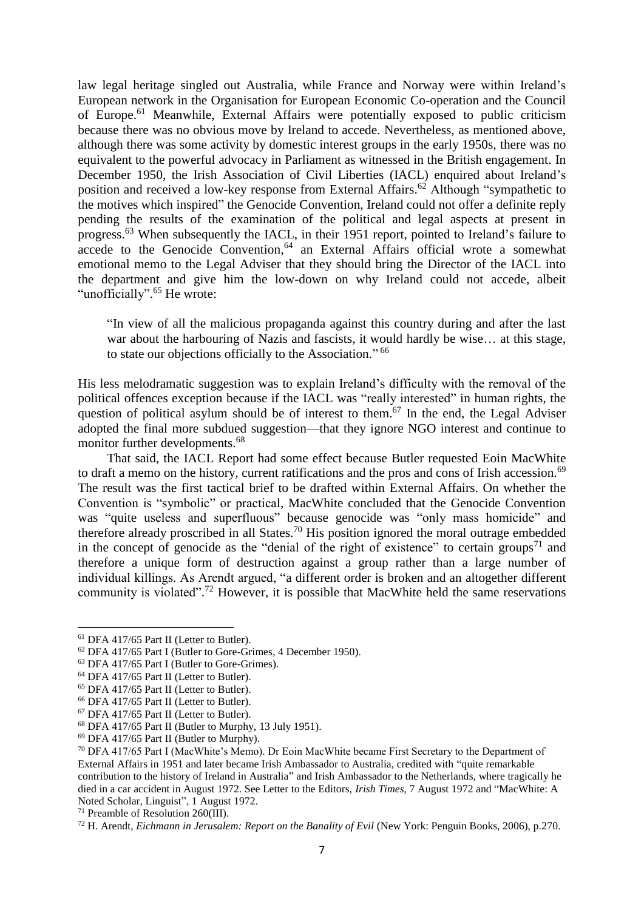law legal heritage singled out Australia, while France and Norway were within Ireland's European network in the Organisation for European Economic Co-operation and the Council of Europe.<sup>61</sup> Meanwhile, External Affairs were potentially exposed to public criticism because there was no obvious move by Ireland to accede. Nevertheless, as mentioned above, although there was some activity by domestic interest groups in the early 1950s, there was no equivalent to the powerful advocacy in Parliament as witnessed in the British engagement. In December 1950, the Irish Association of Civil Liberties (IACL) enquired about Ireland's position and received a low-key response from External Affairs.<sup>62</sup> Although "sympathetic to the motives which inspired" the Genocide Convention, Ireland could not offer a definite reply pending the results of the examination of the political and legal aspects at present in progress.<sup>63</sup> When subsequently the IACL, in their 1951 report, pointed to Ireland's failure to accede to the Genocide Convention, <sup>64</sup> an External Affairs official wrote a somewhat emotional memo to the Legal Adviser that they should bring the Director of the IACL into the department and give him the low-down on why Ireland could not accede, albeit "unofficially".<sup>65</sup> He wrote:

"In view of all the malicious propaganda against this country during and after the last war about the harbouring of Nazis and fascists, it would hardly be wise... at this stage, to state our objections officially to the Association." 66

His less melodramatic suggestion was to explain Ireland's difficulty with the removal of the political offences exception because if the IACL was "really interested" in human rights, the question of political asylum should be of interest to them.<sup>67</sup> In the end, the Legal Adviser adopted the final more subdued suggestion—that they ignore NGO interest and continue to monitor further developments.<sup>68</sup>

That said, the IACL Report had some effect because Butler requested Eoin MacWhite to draft a memo on the history, current ratifications and the pros and cons of Irish accession.<sup>69</sup> The result was the first tactical brief to be drafted within External Affairs. On whether the Convention is "symbolic" or practical, MacWhite concluded that the Genocide Convention was "quite useless and superfluous" because genocide was "only mass homicide" and therefore already proscribed in all States.<sup>70</sup> His position ignored the moral outrage embedded in the concept of genocide as the "denial of the right of existence" to certain groups<sup>71</sup> and therefore a unique form of destruction against a group rather than a large number of individual killings. As Arendt argued, "a different order is broken and an altogether different community is violated".<sup>72</sup> However, it is possible that MacWhite held the same reservations

<sup>61</sup> DFA 417/65 Part II (Letter to Butler).

<sup>62</sup> DFA 417/65 Part I (Butler to Gore-Grimes, 4 December 1950).

<sup>63</sup> DFA 417/65 Part I (Butler to Gore-Grimes).

<sup>64</sup> DFA 417/65 Part II (Letter to Butler).

<sup>65</sup> DFA 417/65 Part II (Letter to Butler).

<sup>66</sup> DFA 417/65 Part II (Letter to Butler).

<sup>67</sup> DFA 417/65 Part II (Letter to Butler).

<sup>68</sup> DFA 417/65 Part II (Butler to Murphy, 13 July 1951).

<sup>69</sup> DFA 417/65 Part II (Butler to Murphy).

<sup>70</sup> DFA 417/65 Part I (MacWhite's Memo). Dr Eoin MacWhite became First Secretary to the Department of External Affairs in 1951 and later became Irish Ambassador to Australia, credited with "quite remarkable contribution to the history of Ireland in Australia" and Irish Ambassador to the Netherlands, where tragically he died in a car accident in August 1972. See Letter to the Editors, *Irish Times*, 7 August 1972 and "MacWhite: A Noted Scholar, Linguist", 1 August 1972.

<sup>71</sup> Preamble of Resolution 260(III).

<sup>72</sup> H. Arendt, *Eichmann in Jerusalem: Report on the Banality of Evil* (New York: Penguin Books, 2006), p.270.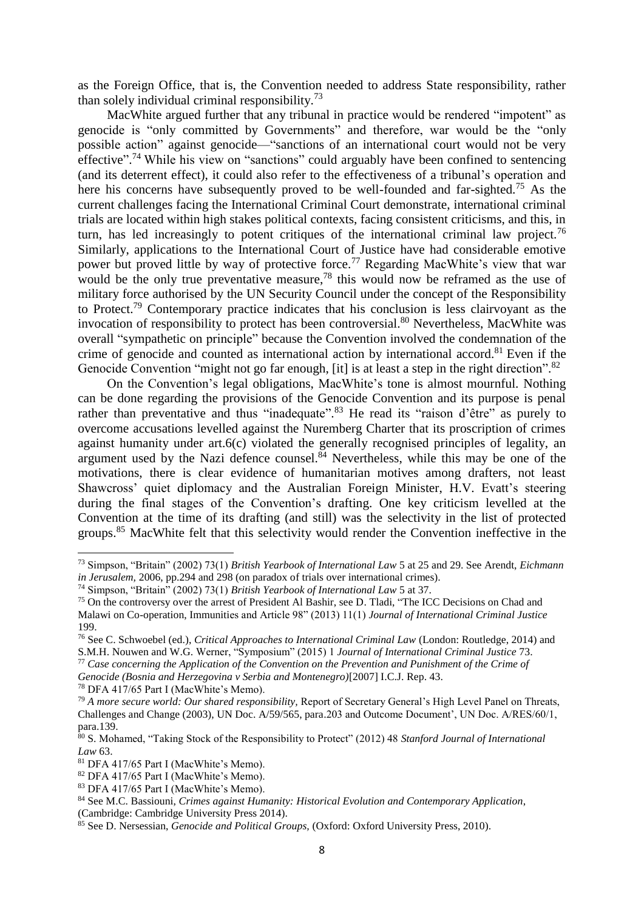as the Foreign Office, that is, the Convention needed to address State responsibility, rather than solely individual criminal responsibility.<sup>73</sup>

MacWhite argued further that any tribunal in practice would be rendered "impotent" as genocide is "only committed by Governments" and therefore, war would be the "only possible action" against genocide—"sanctions of an international court would not be very effective".<sup>74</sup> While his view on "sanctions" could arguably have been confined to sentencing (and its deterrent effect), it could also refer to the effectiveness of a tribunal's operation and here his concerns have subsequently proved to be well-founded and far-sighted.<sup>75</sup> As the current challenges facing the International Criminal Court demonstrate, international criminal trials are located within high stakes political contexts, facing consistent criticisms, and this, in turn, has led increasingly to potent critiques of the international criminal law project.<sup>76</sup> Similarly, applications to the International Court of Justice have had considerable emotive power but proved little by way of protective force.<sup>77</sup> Regarding MacWhite's view that war would be the only true preventative measure,  $78$  this would now be reframed as the use of military force authorised by the UN Security Council under the concept of the Responsibility to Protect.<sup>79</sup> Contemporary practice indicates that his conclusion is less clairvoyant as the invocation of responsibility to protect has been controversial. <sup>80</sup> Nevertheless, MacWhite was overall "sympathetic on principle" because the Convention involved the condemnation of the crime of genocide and counted as international action by international accord.<sup>81</sup> Even if the Genocide Convention "might not go far enough, [it] is at least a step in the right direction".<sup>82</sup>

On the Convention's legal obligations, MacWhite's tone is almost mournful. Nothing can be done regarding the provisions of the Genocide Convention and its purpose is penal rather than preventative and thus "inadequate".<sup>83</sup> He read its "raison d'être" as purely to overcome accusations levelled against the Nuremberg Charter that its proscription of crimes against humanity under art.6(c) violated the generally recognised principles of legality, an argument used by the Nazi defence counsel. $84$  Nevertheless, while this may be one of the motivations, there is clear evidence of humanitarian motives among drafters, not least Shawcross' quiet diplomacy and the Australian Foreign Minister, H.V. Evatt's steering during the final stages of the Convention's drafting. One key criticism levelled at the Convention at the time of its drafting (and still) was the selectivity in the list of protected groups.<sup>85</sup> MacWhite felt that this selectivity would render the Convention ineffective in the

*Genocide (Bosnia and Herzegovina v Serbia and Montenegro)*[2007] I.C.J. Rep. 43.

<sup>78</sup> DFA 417/65 Part I (MacWhite's Memo).

 $\overline{\phantom{a}}$ 

<sup>73</sup> Simpson, "Britain" (2002) 73(1) *British Yearbook of International Law* 5 at 25 and 29. See Arendt, *Eichmann in Jerusalem,* 2006, pp.294 and 298 (on paradox of trials over international crimes).

<sup>74</sup> Simpson, "Britain" (2002) 73(1) *British Yearbook of International Law* 5 at 37.

<sup>&</sup>lt;sup>75</sup> On the controversy over the arrest of President Al Bashir, see D. Tladi, "The ICC Decisions on Chad and Malawi on Co-operation, Immunities and Article 98" (2013) 11(1) *Journal of International Criminal Justice* 199.

<sup>76</sup> See C. Schwoebel (ed.), *Critical Approaches to International Criminal Law* (London: Routledge, 2014) and S.M.H. Nouwen and W.G. Werner, "Symposium" (2015) 1 *Journal of International Criminal Justice* 73.

<sup>77</sup> *Case concerning the Application of the Convention on the Prevention and Punishment of the Crime of* 

<sup>79</sup> *A more secure world: Our shared responsibility,* Report of Secretary General's High Level Panel on Threats, Challenges and Change (2003), UN Doc. A/59/565, para.203 and Outcome Document', UN Doc. A/RES/60/1, para.139.

<sup>80</sup> S. Mohamed, "Taking Stock of the Responsibility to Protect" (2012) 48 *Stanford Journal of International Law* 63.

<sup>81</sup> DFA 417/65 Part I (MacWhite's Memo).

<sup>82</sup> DFA 417/65 Part I (MacWhite's Memo).

<sup>83</sup> DFA 417/65 Part I (MacWhite's Memo).

<sup>84</sup> See M.C. Bassiouni, *Crimes against Humanity: Historical Evolution and Contemporary Application*, (Cambridge: Cambridge University Press 2014).

<sup>85</sup> See D. Nersessian, *Genocide and Political Groups,* (Oxford: Oxford University Press, 2010).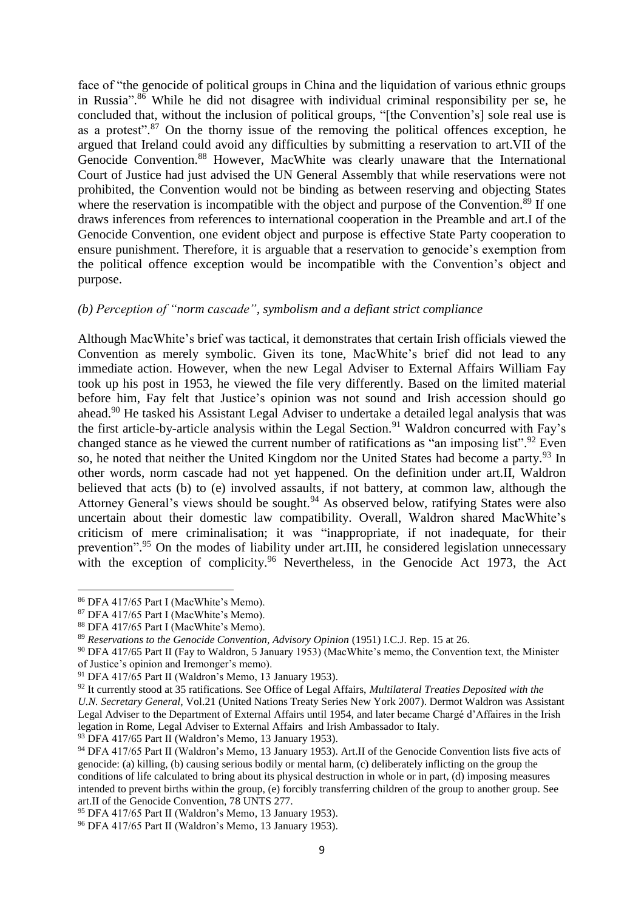face of "the genocide of political groups in China and the liquidation of various ethnic groups in Russia". <sup>86</sup> While he did not disagree with individual criminal responsibility per se, he concluded that, without the inclusion of political groups, "[the Convention's] sole real use is as a protest".<sup>87</sup> On the thorny issue of the removing the political offences exception, he argued that Ireland could avoid any difficulties by submitting a reservation to art.VII of the Genocide Convention. <sup>88</sup> However, MacWhite was clearly unaware that the International Court of Justice had just advised the UN General Assembly that while reservations were not prohibited, the Convention would not be binding as between reserving and objecting States where the reservation is incompatible with the object and purpose of the Convention.<sup>89</sup> If one draws inferences from references to international cooperation in the Preamble and art.I of the Genocide Convention, one evident object and purpose is effective State Party cooperation to ensure punishment. Therefore, it is arguable that a reservation to genocide's exemption from the political offence exception would be incompatible with the Convention's object and purpose.

#### *(b) Perception of "norm cascade", symbolism and a defiant strict compliance*

Although MacWhite's brief was tactical, it demonstrates that certain Irish officials viewed the Convention as merely symbolic. Given its tone, MacWhite's brief did not lead to any immediate action. However, when the new Legal Adviser to External Affairs William Fay took up his post in 1953, he viewed the file very differently. Based on the limited material before him, Fay felt that Justice's opinion was not sound and Irish accession should go ahead.<sup>90</sup> He tasked his Assistant Legal Adviser to undertake a detailed legal analysis that was the first article-by-article analysis within the Legal Section.<sup>91</sup> Waldron concurred with Fay's changed stance as he viewed the current number of ratifications as "an imposing list".<sup>92</sup> Even so, he noted that neither the United Kingdom nor the United States had become a party.<sup>93</sup> In other words, norm cascade had not yet happened. On the definition under art.II, Waldron believed that acts (b) to (e) involved assaults, if not battery, at common law, although the Attorney General's views should be sought.<sup>94</sup> As observed below, ratifying States were also uncertain about their domestic law compatibility. Overall, Waldron shared MacWhite's criticism of mere criminalisation; it was "inappropriate, if not inadequate, for their prevention".<sup>95</sup> On the modes of liability under art.III, he considered legislation unnecessary with the exception of complicity.<sup>96</sup> Nevertheless, in the Genocide Act 1973, the Act

<sup>86</sup> DFA 417/65 Part I (MacWhite's Memo).

<sup>87</sup> DFA 417/65 Part I (MacWhite's Memo).

<sup>88</sup> DFA 417/65 Part I (MacWhite's Memo).

<sup>89</sup> *Reservations to the Genocide Convention, Advisory Opinion* (1951) I.C.J. Rep. 15 at 26.

<sup>90</sup> DFA 417/65 Part II (Fay to Waldron, 5 January 1953) (MacWhite's memo, the Convention text, the Minister of Justice's opinion and Iremonger's memo).

<sup>91</sup> DFA 417/65 Part II (Waldron's Memo, 13 January 1953).

<sup>92</sup> It currently stood at 35 ratifications. See Office of Legal Affairs, *Multilateral Treaties Deposited with the U.N. Secretary General*, Vol.21 (United Nations Treaty Series New York 2007). Dermot Waldron was Assistant Legal Adviser to the Department of External Affairs until 1954, and later became Chargé d'Affaires in the Irish legation in Rome, Legal Adviser to External Affairs and Irish Ambassador to Italy.

 $93$  DFA 417/65 Part II (Waldron's Memo, 13 January 1953).

<sup>94</sup> DFA 417/65 Part II (Waldron's Memo, 13 January 1953). Art.II of the Genocide Convention lists five acts of genocide: (a) killing, (b) causing serious bodily or mental harm, (c) deliberately inflicting on the group the conditions of life calculated to bring about its physical destruction in whole or in part, (d) imposing measures intended to prevent births within the group, (e) forcibly transferring children of the group to another group. See art.II of the Genocide Convention, 78 UNTS 277.

<sup>95</sup> DFA 417/65 Part II (Waldron's Memo, 13 January 1953).

<sup>96</sup> DFA 417/65 Part II (Waldron's Memo, 13 January 1953).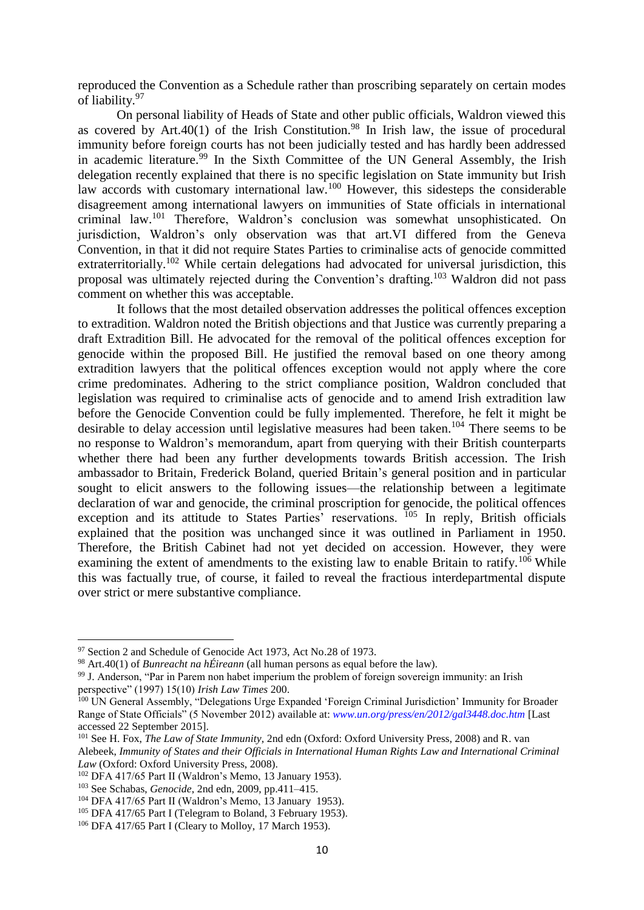reproduced the Convention as a Schedule rather than proscribing separately on certain modes of liability.<sup>97</sup>

On personal liability of Heads of State and other public officials, Waldron viewed this as covered by Art.40(1) of the Irish Constitution.<sup>98</sup> In Irish law, the issue of procedural immunity before foreign courts has not been judicially tested and has hardly been addressed in academic literature.<sup>99</sup> In the Sixth Committee of the UN General Assembly, the Irish delegation recently explained that there is no specific legislation on State immunity but Irish law accords with customary international law.<sup>100</sup> However, this sidesteps the considerable disagreement among international lawyers on immunities of State officials in international criminal law.<sup>101</sup> Therefore, Waldron's conclusion was somewhat unsophisticated. On jurisdiction, Waldron's only observation was that art.VI differed from the Geneva Convention, in that it did not require States Parties to criminalise acts of genocide committed extraterritorially.<sup>102</sup> While certain delegations had advocated for universal jurisdiction, this proposal was ultimately rejected during the Convention's drafting. <sup>103</sup> Waldron did not pass comment on whether this was acceptable.

It follows that the most detailed observation addresses the political offences exception to extradition. Waldron noted the British objections and that Justice was currently preparing a draft Extradition Bill. He advocated for the removal of the political offences exception for genocide within the proposed Bill. He justified the removal based on one theory among extradition lawyers that the political offences exception would not apply where the core crime predominates. Adhering to the strict compliance position, Waldron concluded that legislation was required to criminalise acts of genocide and to amend Irish extradition law before the Genocide Convention could be fully implemented. Therefore, he felt it might be desirable to delay accession until legislative measures had been taken.<sup>104</sup> There seems to be no response to Waldron's memorandum, apart from querying with their British counterparts whether there had been any further developments towards British accession. The Irish ambassador to Britain, Frederick Boland, queried Britain's general position and in particular sought to elicit answers to the following issues—the relationship between a legitimate declaration of war and genocide, the criminal proscription for genocide, the political offences exception and its attitude to States Parties' reservations.  $105$  In reply, British officials explained that the position was unchanged since it was outlined in Parliament in 1950. Therefore, the British Cabinet had not yet decided on accession. However, they were examining the extent of amendments to the existing law to enable Britain to ratify.<sup>106</sup> While this was factually true, of course, it failed to reveal the fractious interdepartmental dispute over strict or mere substantive compliance.

<sup>&</sup>lt;sup>97</sup> Section 2 and Schedule of Genocide Act 1973, Act No.28 of 1973.

<sup>98</sup> Art.40(1) of *Bunreacht na hÉireann* (all human persons as equal before the law).

<sup>99</sup> J. Anderson, "Par in Parem non habet imperium the problem of foreign sovereign immunity: an Irish perspective" (1997) 15(10) *Irish Law Times* 200.

<sup>&</sup>lt;sup>100</sup> UN General Assembly, "Delegations Urge Expanded 'Foreign Criminal Jurisdiction' Immunity for Broader Range of State Officials" (5 November 2012) available at: *[www.un.org/press/en/2012/gal3448.doc.htm](file://iedu-fs-01.tlr.thomson.com/Editorial/Journals/The%20Irish%20Jurist/2015_Vol_54/2.%20Back%20from%20Liz/Long%20Articles/www.un.org/press/en/2012/gal3448.doc.htm)* [Last accessed 22 September 2015].

<sup>101</sup> See H. Fox, *The Law of State Immunity*, 2nd edn (Oxford: Oxford University Press, 2008) and R. van Alebeek, *Immunity of States and their Officials in International Human Rights Law and International Criminal Law* (Oxford: Oxford University Press, 2008).

<sup>102</sup> DFA 417/65 Part II (Waldron's Memo, 13 January 1953).

<sup>103</sup> See Schabas, *Genocide*, 2nd edn, 2009, pp.411–415.

<sup>104</sup> DFA 417/65 Part II (Waldron's Memo, 13 January 1953).

<sup>&</sup>lt;sup>105</sup> DFA 417/65 Part I (Telegram to Boland, 3 February 1953).

<sup>106</sup> DFA 417/65 Part I (Cleary to Molloy, 17 March 1953).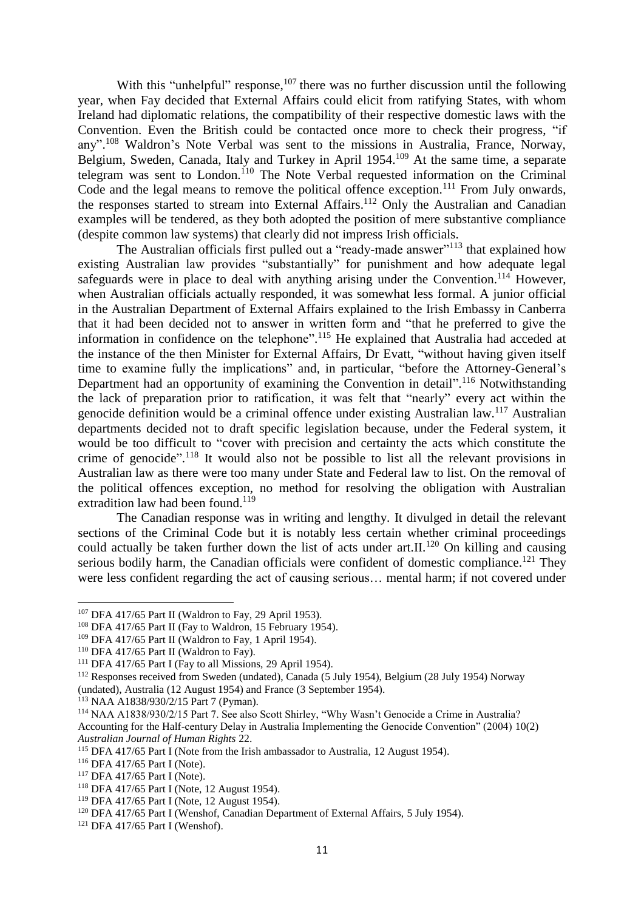With this "unhelpful" response, $107$  there was no further discussion until the following year, when Fay decided that External Affairs could elicit from ratifying States, with whom Ireland had diplomatic relations, the compatibility of their respective domestic laws with the Convention. Even the British could be contacted once more to check their progress, "if any".<sup>108</sup> Waldron's Note Verbal was sent to the missions in Australia, France, Norway, Belgium, Sweden, Canada, Italy and Turkey in April 1954.<sup>109</sup> At the same time, a separate telegram was sent to London.<sup>110</sup> The Note Verbal requested information on the Criminal Code and the legal means to remove the political offence exception.<sup>111</sup> From July onwards, the responses started to stream into External Affairs.<sup>112</sup> Only the Australian and Canadian examples will be tendered, as they both adopted the position of mere substantive compliance (despite common law systems) that clearly did not impress Irish officials.

The Australian officials first pulled out a "ready-made answer"<sup>113</sup> that explained how existing Australian law provides "substantially" for punishment and how adequate legal safeguards were in place to deal with anything arising under the Convention.<sup>114</sup> However, when Australian officials actually responded, it was somewhat less formal. A junior official in the Australian Department of External Affairs explained to the Irish Embassy in Canberra that it had been decided not to answer in written form and "that he preferred to give the information in confidence on the telephone".<sup>115</sup> He explained that Australia had acceded at the instance of the then Minister for External Affairs, Dr Evatt, "without having given itself time to examine fully the implications" and, in particular, "before the Attorney-General's Department had an opportunity of examining the Convention in detail".<sup>116</sup> Notwithstanding the lack of preparation prior to ratification, it was felt that "nearly" every act within the genocide definition would be a criminal offence under existing Australian law.<sup>117</sup> Australian departments decided not to draft specific legislation because, under the Federal system, it would be too difficult to "cover with precision and certainty the acts which constitute the crime of genocide".<sup>118</sup> It would also not be possible to list all the relevant provisions in Australian law as there were too many under State and Federal law to list. On the removal of the political offences exception, no method for resolving the obligation with Australian extradition law had been found.<sup>119</sup>

The Canadian response was in writing and lengthy. It divulged in detail the relevant sections of the Criminal Code but it is notably less certain whether criminal proceedings could actually be taken further down the list of acts under art.II.<sup>120</sup> On killing and causing serious bodily harm, the Canadian officials were confident of domestic compliance.<sup>121</sup> They were less confident regarding the act of causing serious… mental harm; if not covered under

<sup>107</sup> DFA 417/65 Part II (Waldron to Fay, 29 April 1953).

<sup>&</sup>lt;sup>108</sup> DFA 417/65 Part II (Fay to Waldron, 15 February 1954).

<sup>&</sup>lt;sup>109</sup> DFA 417/65 Part II (Waldron to Fay, 1 April 1954).

<sup>110</sup> DFA 417/65 Part II (Waldron to Fay).

 $111$  DFA 417/65 Part I (Fay to all Missions, 29 April 1954).

<sup>112</sup> Responses received from Sweden (undated), Canada (5 July 1954), Belgium (28 July 1954) Norway

<sup>(</sup>undated), Australia (12 August 1954) and France (3 September 1954).

<sup>113</sup> NAA A1838/930/2/15 Part 7 (Pyman).

<sup>114</sup> NAA A1838/930/2/15 Part 7. See also Scott Shirley, "Why Wasn't Genocide a Crime in Australia? Accounting for the Half-century Delay in Australia Implementing the Genocide Convention" (2004) 10(2) *Australian Journal of Human Rights* 22.

<sup>115</sup> DFA 417/65 Part I (Note from the Irish ambassador to Australia, 12 August 1954).

<sup>116</sup> DFA 417/65 Part I (Note).

<sup>117</sup> DFA 417/65 Part I (Note).

<sup>118</sup> DFA 417/65 Part I (Note, 12 August 1954).

<sup>119</sup> DFA 417/65 Part I (Note, 12 August 1954).

<sup>&</sup>lt;sup>120</sup> DFA 417/65 Part I (Wenshof, Canadian Department of External Affairs, 5 July 1954).

<sup>121</sup> DFA 417/65 Part I (Wenshof).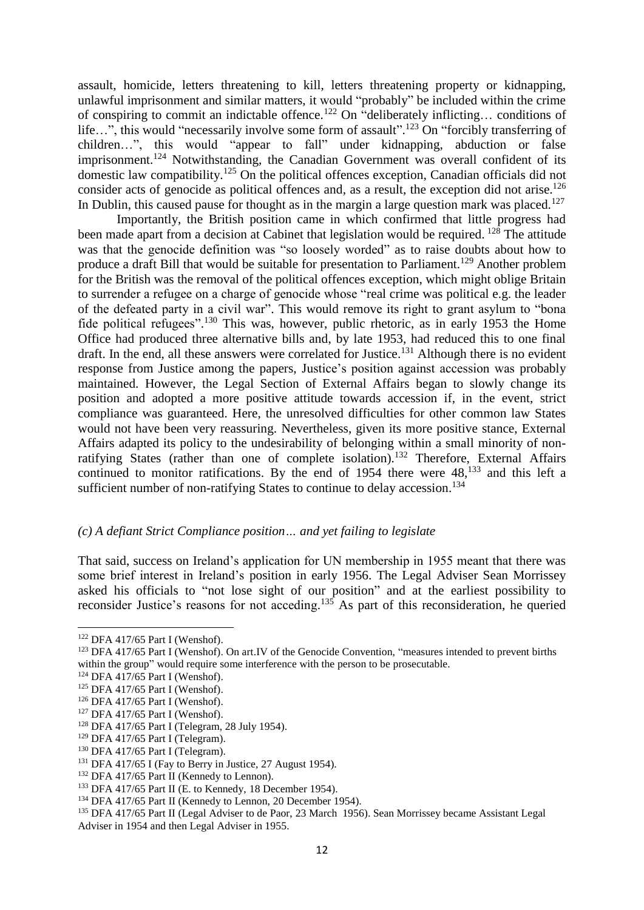assault, homicide, letters threatening to kill, letters threatening property or kidnapping, unlawful imprisonment and similar matters, it would "probably" be included within the crime of conspiring to commit an indictable offence.<sup>122</sup> On "deliberately inflicting... conditions of life...", this would "necessarily involve some form of assault".<sup>123</sup> On "forcibly transferring of children…", this would "appear to fall" under kidnapping, abduction or false imprisonment.<sup>124</sup> Notwithstanding, the Canadian Government was overall confident of its domestic law compatibility.<sup>125</sup> On the political offences exception, Canadian officials did not consider acts of genocide as political offences and, as a result, the exception did not arise.<sup>126</sup> In Dublin, this caused pause for thought as in the margin a large question mark was placed.<sup>127</sup>

Importantly, the British position came in which confirmed that little progress had been made apart from a decision at Cabinet that legislation would be required. <sup>128</sup> The attitude was that the genocide definition was "so loosely worded" as to raise doubts about how to produce a draft Bill that would be suitable for presentation to Parliament.<sup>129</sup> Another problem for the British was the removal of the political offences exception, which might oblige Britain to surrender a refugee on a charge of genocide whose "real crime was political e.g. the leader of the defeated party in a civil war". This would remove its right to grant asylum to "bona fide political refugees".<sup>130</sup> This was, however, public rhetoric, as in early 1953 the Home Office had produced three alternative bills and, by late 1953, had reduced this to one final draft. In the end, all these answers were correlated for Justice.<sup>131</sup> Although there is no evident response from Justice among the papers, Justice's position against accession was probably maintained. However, the Legal Section of External Affairs began to slowly change its position and adopted a more positive attitude towards accession if, in the event, strict compliance was guaranteed. Here, the unresolved difficulties for other common law States would not have been very reassuring. Nevertheless, given its more positive stance, External Affairs adapted its policy to the undesirability of belonging within a small minority of nonratifying States (rather than one of complete isolation).<sup>132</sup> Therefore, External Affairs continued to monitor ratifications. By the end of  $1954$  there were  $48$ ,  $133$  and this left a sufficient number of non-ratifying States to continue to delay accession.<sup>134</sup>

#### *(c) A defiant Strict Compliance position… and yet failing to legislate*

That said, success on Ireland's application for UN membership in 1955 meant that there was some brief interest in Ireland's position in early 1956. The Legal Adviser Sean Morrissey asked his officials to "not lose sight of our position" and at the earliest possibility to reconsider Justice's reasons for not acceding.<sup>135</sup> As part of this reconsideration, he queried

<sup>122</sup> DFA 417/65 Part I (Wenshof).

<sup>&</sup>lt;sup>123</sup> DFA 417/65 Part I (Wenshof). On art.IV of the Genocide Convention, "measures intended to prevent births within the group" would require some interference with the person to be prosecutable.

<sup>124</sup> DFA 417/65 Part I (Wenshof).

<sup>125</sup> DFA 417/65 Part I (Wenshof).

<sup>126</sup> DFA 417/65 Part I (Wenshof).

<sup>127</sup> DFA 417/65 Part I (Wenshof).

<sup>128</sup> DFA 417/65 Part I (Telegram, 28 July 1954).

 $129$  DFA 417/65 Part I (Telegram).

<sup>&</sup>lt;sup>130</sup> DFA 417/65 Part I (Telegram).

<sup>&</sup>lt;sup>131</sup> DFA 417/65 I (Fay to Berry in Justice, 27 August 1954).

<sup>&</sup>lt;sup>132</sup> DFA 417/65 Part II (Kennedy to Lennon).

 $133$  DFA 417/65 Part II (E. to Kennedy, 18 December 1954).

<sup>&</sup>lt;sup>134</sup> DFA 417/65 Part II (Kennedy to Lennon, 20 December 1954).

<sup>135</sup> DFA 417/65 Part II (Legal Adviser to de Paor, 23 March 1956). Sean Morrissey became Assistant Legal Adviser in 1954 and then Legal Adviser in 1955.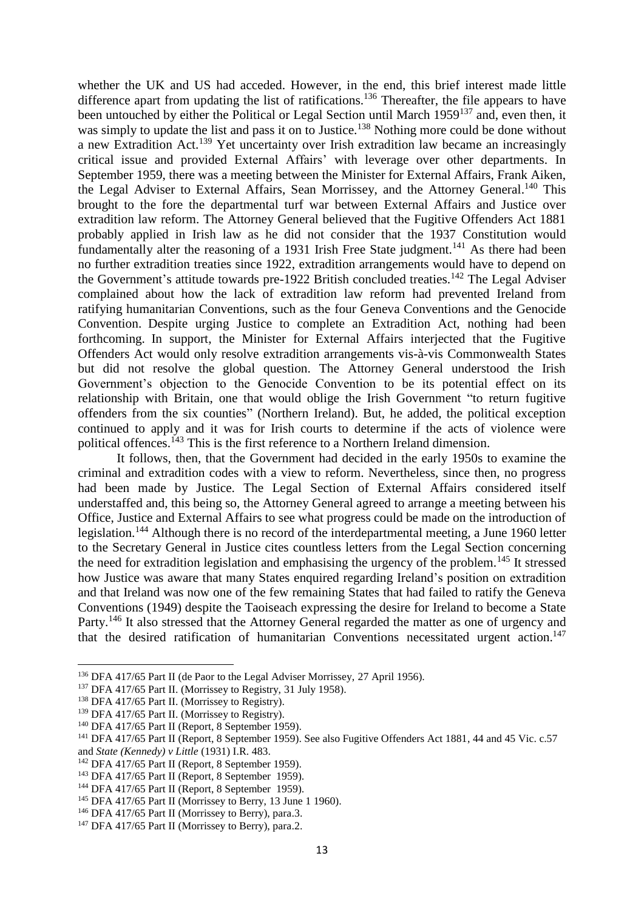whether the UK and US had acceded. However, in the end, this brief interest made little difference apart from updating the list of ratifications.<sup>136</sup> Thereafter, the file appears to have been untouched by either the Political or Legal Section until March 1959<sup>137</sup> and, even then, it was simply to update the list and pass it on to Justice.<sup>138</sup> Nothing more could be done without a new Extradition Act.<sup>139</sup> Yet uncertainty over Irish extradition law became an increasingly critical issue and provided External Affairs' with leverage over other departments. In September 1959, there was a meeting between the Minister for External Affairs, Frank Aiken, the Legal Adviser to External Affairs, Sean Morrissey, and the Attorney General.<sup>140</sup> This brought to the fore the departmental turf war between External Affairs and Justice over extradition law reform. The Attorney General believed that the Fugitive Offenders Act 1881 probably applied in Irish law as he did not consider that the 1937 Constitution would fundamentally alter the reasoning of a 1931 Irish Free State judgment.<sup>141</sup> As there had been no further extradition treaties since 1922, extradition arrangements would have to depend on the Government's attitude towards pre-1922 British concluded treaties.<sup>142</sup> The Legal Adviser complained about how the lack of extradition law reform had prevented Ireland from ratifying humanitarian Conventions, such as the four Geneva Conventions and the Genocide Convention. Despite urging Justice to complete an Extradition Act, nothing had been forthcoming. In support, the Minister for External Affairs interjected that the Fugitive Offenders Act would only resolve extradition arrangements vis-à-vis Commonwealth States but did not resolve the global question. The Attorney General understood the Irish Government's objection to the Genocide Convention to be its potential effect on its relationship with Britain, one that would oblige the Irish Government "to return fugitive offenders from the six counties" (Northern Ireland). But, he added, the political exception continued to apply and it was for Irish courts to determine if the acts of violence were political offences.<sup>143</sup> This is the first reference to a Northern Ireland dimension.

It follows, then, that the Government had decided in the early 1950s to examine the criminal and extradition codes with a view to reform. Nevertheless, since then, no progress had been made by Justice. The Legal Section of External Affairs considered itself understaffed and, this being so, the Attorney General agreed to arrange a meeting between his Office, Justice and External Affairs to see what progress could be made on the introduction of legislation.<sup>144</sup> Although there is no record of the interdepartmental meeting, a June 1960 letter to the Secretary General in Justice cites countless letters from the Legal Section concerning the need for extradition legislation and emphasising the urgency of the problem.<sup>145</sup> It stressed how Justice was aware that many States enquired regarding Ireland's position on extradition and that Ireland was now one of the few remaining States that had failed to ratify the Geneva Conventions (1949) despite the Taoiseach expressing the desire for Ireland to become a State Party.<sup>146</sup> It also stressed that the Attorney General regarded the matter as one of urgency and that the desired ratification of humanitarian Conventions necessitated urgent action.<sup>147</sup>

 $\overline{\phantom{a}}$ 

<sup>136</sup> DFA 417/65 Part II (de Paor to the Legal Adviser Morrissey, 27 April 1956).

<sup>&</sup>lt;sup>137</sup> DFA 417/65 Part II. (Morrissey to Registry, 31 July 1958).

<sup>&</sup>lt;sup>138</sup> DFA 417/65 Part II. (Morrissey to Registry).

<sup>&</sup>lt;sup>139</sup> DFA 417/65 Part II. (Morrissey to Registry).

<sup>140</sup> DFA 417/65 Part II (Report, 8 September 1959).

<sup>&</sup>lt;sup>141</sup> DFA 417/65 Part II (Report, 8 September 1959). See also Fugitive Offenders Act 1881, 44 and 45 Vic. c.57 and *State (Kennedy) v Little* (1931) I.R. 483.

<sup>142</sup> DFA 417/65 Part II (Report, 8 September 1959).

<sup>143</sup> DFA 417/65 Part II (Report, 8 September 1959).

<sup>&</sup>lt;sup>144</sup> DFA 417/65 Part II (Report, 8 September 1959).

<sup>145</sup> DFA 417/65 Part II (Morrissey to Berry, 13 June 1 1960).

<sup>&</sup>lt;sup>146</sup> DFA 417/65 Part II (Morrissey to Berry), para.3.

<sup>&</sup>lt;sup>147</sup> DFA 417/65 Part II (Morrissey to Berry), para.2.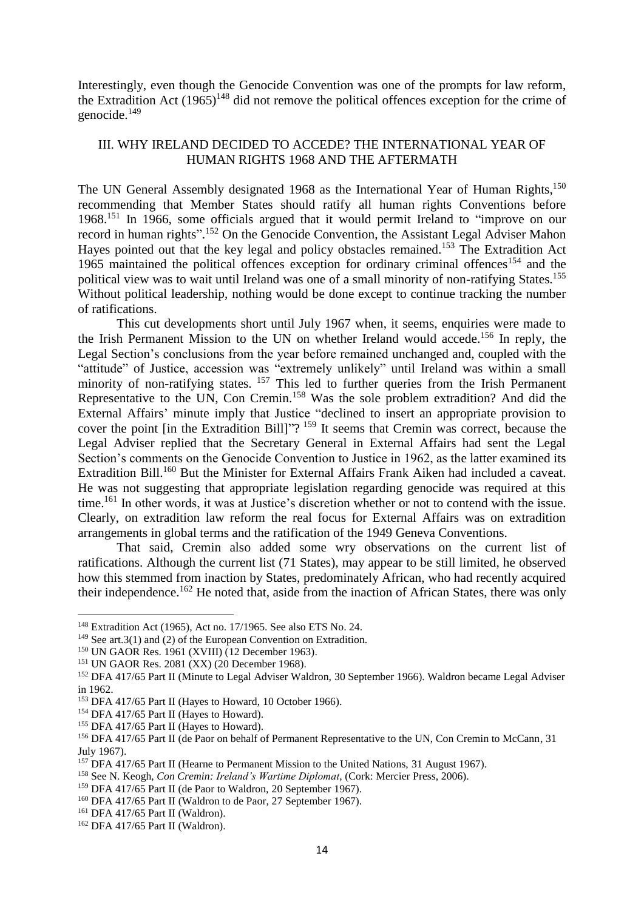Interestingly, even though the Genocide Convention was one of the prompts for law reform, the Extradition Act  $(1965)^{148}$  did not remove the political offences exception for the crime of genocide. 149

# III. WHY IRELAND DECIDED TO ACCEDE? THE INTERNATIONAL YEAR OF HUMAN RIGHTS 1968 AND THE AFTERMATH

The UN General Assembly designated 1968 as the International Year of Human Rights,<sup>150</sup> recommending that Member States should ratify all human rights Conventions before 1968.<sup>151</sup> In 1966, some officials argued that it would permit Ireland to "improve on our record in human rights".<sup>152</sup> On the Genocide Convention, the Assistant Legal Adviser Mahon Hayes pointed out that the key legal and policy obstacles remained.<sup>153</sup> The Extradition Act 1965 maintained the political offences exception for ordinary criminal offences<sup>154</sup> and the political view was to wait until Ireland was one of a small minority of non-ratifying States.<sup>155</sup> Without political leadership, nothing would be done except to continue tracking the number of ratifications.

This cut developments short until July 1967 when, it seems, enquiries were made to the Irish Permanent Mission to the UN on whether Ireland would accede.<sup>156</sup> In reply, the Legal Section's conclusions from the year before remained unchanged and, coupled with the "attitude" of Justice, accession was "extremely unlikely" until Ireland was within a small minority of non-ratifying states. <sup>157</sup> This led to further queries from the Irish Permanent Representative to the UN, Con Cremin.<sup>158</sup> Was the sole problem extradition? And did the External Affairs' minute imply that Justice "declined to insert an appropriate provision to cover the point [in the Extradition Bill]"?<sup>159</sup> It seems that Cremin was correct, because the Legal Adviser replied that the Secretary General in External Affairs had sent the Legal Section's comments on the Genocide Convention to Justice in 1962, as the latter examined its Extradition Bill.<sup>160</sup> But the Minister for External Affairs Frank Aiken had included a caveat. He was not suggesting that appropriate legislation regarding genocide was required at this time.<sup>161</sup> In other words, it was at Justice's discretion whether or not to contend with the issue. Clearly, on extradition law reform the real focus for External Affairs was on extradition arrangements in global terms and the ratification of the 1949 Geneva Conventions.

That said, Cremin also added some wry observations on the current list of ratifications. Although the current list (71 States), may appear to be still limited, he observed how this stemmed from inaction by States, predominately African, who had recently acquired their independence.<sup>162</sup> He noted that, aside from the inaction of African States, there was only

<sup>148</sup> Extradition Act (1965), Act no. 17/1965. See also ETS No. 24.

 $149$  See art. 3(1) and (2) of the European Convention on Extradition.

<sup>150</sup> UN GAOR Res. 1961 (XVIII) (12 December 1963).

<sup>151</sup> UN GAOR Res. 2081 (XX) (20 December 1968).

<sup>&</sup>lt;sup>152</sup> DFA 417/65 Part II (Minute to Legal Adviser Waldron, 30 September 1966). Waldron became Legal Adviser in 1962.

<sup>&</sup>lt;sup>153</sup> DFA 417/65 Part II (Hayes to Howard, 10 October 1966).

<sup>&</sup>lt;sup>154</sup> DFA 417/65 Part II (Hayes to Howard).

<sup>&</sup>lt;sup>155</sup> DFA 417/65 Part II (Hayes to Howard).

<sup>&</sup>lt;sup>156</sup> DFA 417/65 Part II (de Paor on behalf of Permanent Representative to the UN, Con Cremin to McCann, 31 July 1967).

<sup>&</sup>lt;sup>157</sup> DFA 417/65 Part II (Hearne to Permanent Mission to the United Nations, 31 August 1967).

<sup>158</sup> See N. Keogh, *Con Cremin: Ireland's Wartime Diplomat*, (Cork: Mercier Press, 2006).

<sup>&</sup>lt;sup>159</sup> DFA 417/65 Part II (de Paor to Waldron, 20 September 1967).

<sup>&</sup>lt;sup>160</sup> DFA 417/65 Part II (Waldron to de Paor, 27 September 1967).

<sup>161</sup> DFA 417/65 Part II (Waldron).

<sup>162</sup> DFA 417/65 Part II (Waldron).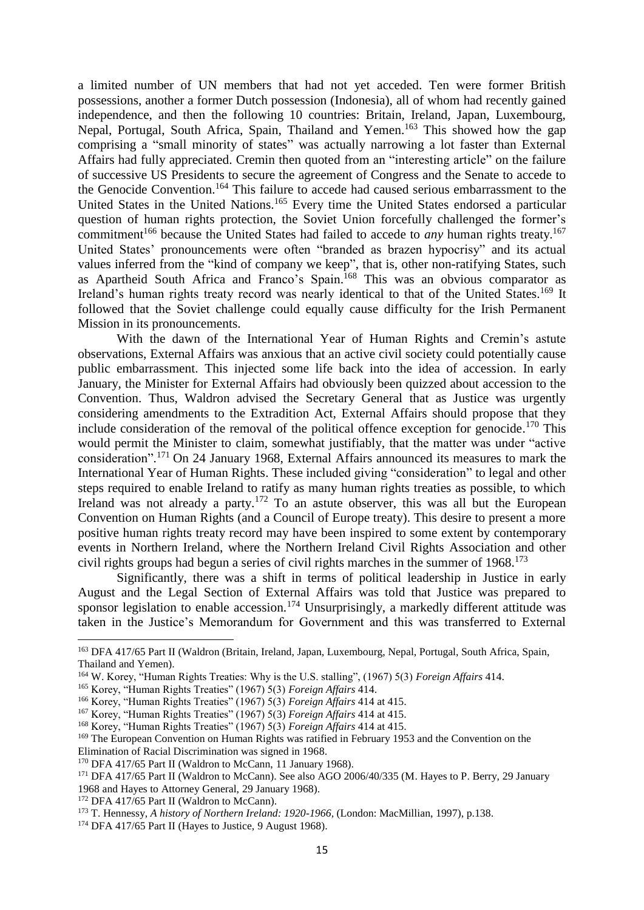a limited number of UN members that had not yet acceded. Ten were former British possessions, another a former Dutch possession (Indonesia), all of whom had recently gained independence, and then the following 10 countries: Britain, Ireland, Japan, Luxembourg, Nepal, Portugal, South Africa, Spain, Thailand and Yemen.<sup>163</sup> This showed how the gap comprising a "small minority of states" was actually narrowing a lot faster than External Affairs had fully appreciated. Cremin then quoted from an "interesting article" on the failure of successive US Presidents to secure the agreement of Congress and the Senate to accede to the Genocide Convention. <sup>164</sup> This failure to accede had caused serious embarrassment to the United States in the United Nations. <sup>165</sup> Every time the United States endorsed a particular question of human rights protection, the Soviet Union forcefully challenged the former's commitment<sup>166</sup> because the United States had failed to accede to *any* human rights treaty.<sup>167</sup> United States' pronouncements were often "branded as brazen hypocrisy" and its actual values inferred from the "kind of company we keep", that is, other non-ratifying States, such as Apartheid South Africa and Franco's Spain. <sup>168</sup> This was an obvious comparator as Ireland's human rights treaty record was nearly identical to that of the United States.<sup>169</sup> It followed that the Soviet challenge could equally cause difficulty for the Irish Permanent Mission in its pronouncements.

With the dawn of the International Year of Human Rights and Cremin's astute observations, External Affairs was anxious that an active civil society could potentially cause public embarrassment. This injected some life back into the idea of accession. In early January, the Minister for External Affairs had obviously been quizzed about accession to the Convention. Thus, Waldron advised the Secretary General that as Justice was urgently considering amendments to the Extradition Act, External Affairs should propose that they include consideration of the removal of the political offence exception for genocide.<sup>170</sup> This would permit the Minister to claim, somewhat justifiably, that the matter was under "active consideration". <sup>171</sup> On 24 January 1968, External Affairs announced its measures to mark the International Year of Human Rights. These included giving "consideration" to legal and other steps required to enable Ireland to ratify as many human rights treaties as possible, to which Ireland was not already a party.<sup>172</sup> To an astute observer, this was all but the European Convention on Human Rights (and a Council of Europe treaty). This desire to present a more positive human rights treaty record may have been inspired to some extent by contemporary events in Northern Ireland, where the Northern Ireland Civil Rights Association and other civil rights groups had begun a series of civil rights marches in the summer of 1968.<sup>173</sup>

Significantly, there was a shift in terms of political leadership in Justice in early August and the Legal Section of External Affairs was told that Justice was prepared to sponsor legislation to enable accession.<sup>174</sup> Unsurprisingly, a markedly different attitude was taken in the Justice's Memorandum for Government and this was transferred to External

<sup>&</sup>lt;sup>163</sup> DFA 417/65 Part II (Waldron (Britain, Ireland, Japan, Luxembourg, Nepal, Portugal, South Africa, Spain, Thailand and Yemen).

<sup>164</sup> W. Korey, "Human Rights Treaties: Why is the U.S. stalling", (1967) 5(3) *Foreign Affairs* 414.

<sup>165</sup> Korey, "Human Rights Treaties" (1967) 5(3) *Foreign Affairs* 414.

<sup>166</sup> Korey, "Human Rights Treaties" (1967) 5(3) *Foreign Affairs* 414 at 415.

<sup>167</sup> Korey, "Human Rights Treaties" (1967) 5(3) *Foreign Affairs* 414 at 415.

<sup>168</sup> Korey, "Human Rights Treaties" (1967) 5(3) *Foreign Affairs* 414 at 415.

<sup>&</sup>lt;sup>169</sup> The European Convention on Human Rights was ratified in February 1953 and the Convention on the Elimination of Racial Discrimination was signed in 1968.

<sup>&</sup>lt;sup>170</sup> DFA 417/65 Part II (Waldron to McCann, 11 January 1968).

<sup>171</sup> DFA 417/65 Part II (Waldron to McCann). See also AGO 2006/40/335 (M. Hayes to P. Berry, 29 January 1968 and Hayes to Attorney General, 29 January 1968).

<sup>&</sup>lt;sup>172</sup> DFA 417/65 Part II (Waldron to McCann).

<sup>173</sup> T. Hennessy, *A history of Northern Ireland: 1920-1966,* (London: MacMillian, 1997), p.138.

<sup>&</sup>lt;sup>174</sup> DFA 417/65 Part II (Hayes to Justice, 9 August 1968).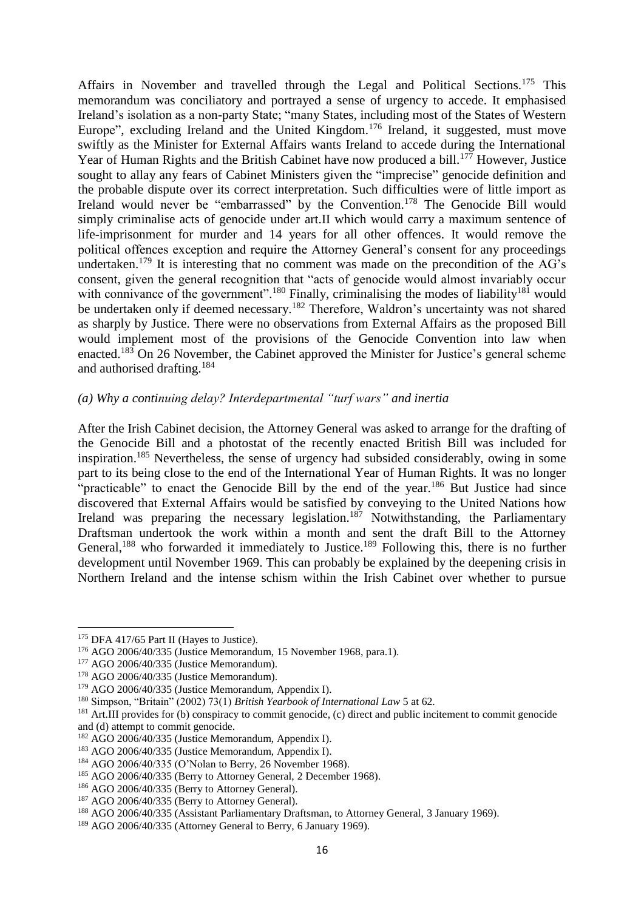Affairs in November and travelled through the Legal and Political Sections.<sup>175</sup> This memorandum was conciliatory and portrayed a sense of urgency to accede. It emphasised Ireland's isolation as a non-party State; "many States, including most of the States of Western Europe", excluding Ireland and the United Kingdom.<sup>176</sup> Ireland, it suggested, must move swiftly as the Minister for External Affairs wants Ireland to accede during the International Year of Human Rights and the British Cabinet have now produced a bill.<sup>177</sup> However, Justice sought to allay any fears of Cabinet Ministers given the "imprecise" genocide definition and the probable dispute over its correct interpretation. Such difficulties were of little import as Ireland would never be "embarrassed" by the Convention.<sup>178</sup> The Genocide Bill would simply criminalise acts of genocide under art.II which would carry a maximum sentence of life-imprisonment for murder and 14 years for all other offences. It would remove the political offences exception and require the Attorney General's consent for any proceedings undertaken.<sup>179</sup> It is interesting that no comment was made on the precondition of the AG's consent, given the general recognition that "acts of genocide would almost invariably occur with connivance of the government".<sup>180</sup> Finally, criminalising the modes of liability<sup>181</sup> would be undertaken only if deemed necessary.<sup>182</sup> Therefore, Waldron's uncertainty was not shared as sharply by Justice. There were no observations from External Affairs as the proposed Bill would implement most of the provisions of the Genocide Convention into law when enacted.<sup>183</sup> On 26 November, the Cabinet approved the Minister for Justice's general scheme and authorised drafting.<sup>184</sup>

## *(a) Why a continuing delay? Interdepartmental "turf wars" and inertia*

After the Irish Cabinet decision, the Attorney General was asked to arrange for the drafting of the Genocide Bill and a photostat of the recently enacted British Bill was included for inspiration.<sup>185</sup> Nevertheless, the sense of urgency had subsided considerably, owing in some part to its being close to the end of the International Year of Human Rights. It was no longer "practicable" to enact the Genocide Bill by the end of the year.<sup>186</sup> But Justice had since discovered that External Affairs would be satisfied by conveying to the United Nations how Ireland was preparing the necessary legislation.<sup>187</sup> Notwithstanding, the Parliamentary Draftsman undertook the work within a month and sent the draft Bill to the Attorney General,<sup>188</sup> who forwarded it immediately to Justice.<sup>189</sup> Following this, there is no further development until November 1969. This can probably be explained by the deepening crisis in Northern Ireland and the intense schism within the Irish Cabinet over whether to pursue

<sup>&</sup>lt;sup>175</sup> DFA 417/65 Part II (Hayes to Justice).

<sup>176</sup> AGO 2006/40/335 (Justice Memorandum, 15 November 1968, para.1).

<sup>&</sup>lt;sup>177</sup> AGO 2006/40/335 (Justice Memorandum).

<sup>178</sup> AGO 2006/40/335 (Justice Memorandum).

<sup>179</sup> AGO 2006/40/335 (Justice Memorandum, Appendix I).

<sup>180</sup> Simpson, "Britain" (2002) 73(1) *British Yearbook of International Law* 5 at 62.

<sup>&</sup>lt;sup>181</sup> Art.III provides for (b) conspiracy to commit genocide, (c) direct and public incitement to commit genocide and (d) attempt to commit genocide.

<sup>182</sup> AGO 2006/40/335 (Justice Memorandum, Appendix I).

<sup>&</sup>lt;sup>183</sup> AGO 2006/40/335 (Justice Memorandum, Appendix I).

<sup>184</sup> AGO 2006/40/335 (O'Nolan to Berry, 26 November 1968).

<sup>185</sup> AGO 2006/40/335 (Berry to Attorney General, 2 December 1968).

<sup>&</sup>lt;sup>186</sup> AGO 2006/40/335 (Berry to Attorney General).

<sup>187</sup> AGO 2006/40/335 (Berry to Attorney General).

<sup>188</sup> AGO 2006/40/335 (Assistant Parliamentary Draftsman, to Attorney General, 3 January 1969).

<sup>&</sup>lt;sup>189</sup> AGO 2006/40/335 (Attorney General to Berry, 6 January 1969).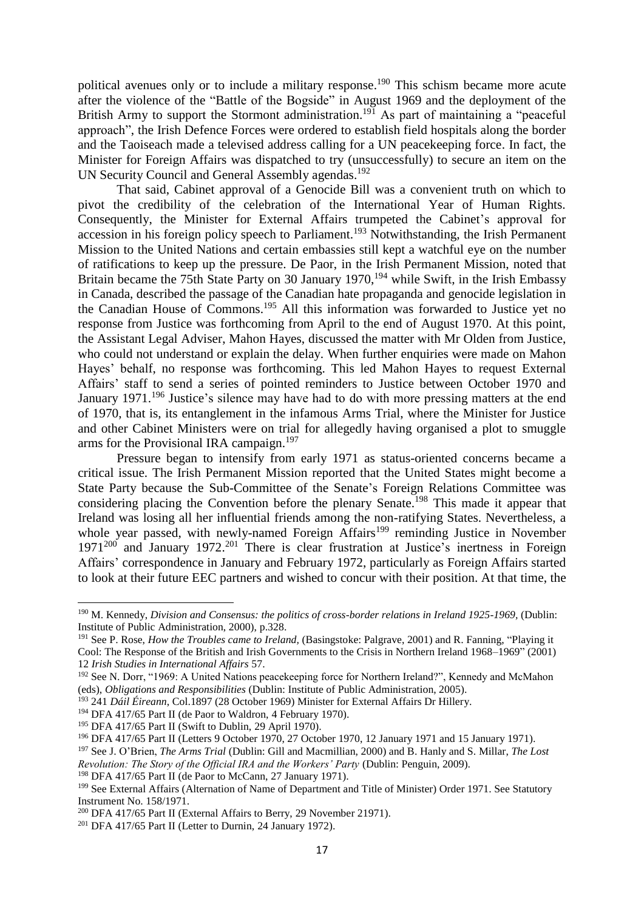political avenues only or to include a military response. <sup>190</sup> This schism became more acute after the violence of the "Battle of the Bogside" in August 1969 and the deployment of the British Army to support the Stormont administration.<sup>191</sup> As part of maintaining a "peaceful" approach", the Irish Defence Forces were ordered to establish field hospitals along the border and the Taoiseach made a televised address calling for a UN peacekeeping force. In fact, the Minister for Foreign Affairs was dispatched to try (unsuccessfully) to secure an item on the UN Security Council and General Assembly agendas.<sup>192</sup>

That said, Cabinet approval of a Genocide Bill was a convenient truth on which to pivot the credibility of the celebration of the International Year of Human Rights. Consequently, the Minister for External Affairs trumpeted the Cabinet's approval for accession in his foreign policy speech to Parliament.<sup>193</sup> Notwithstanding, the Irish Permanent Mission to the United Nations and certain embassies still kept a watchful eye on the number of ratifications to keep up the pressure. De Paor, in the Irish Permanent Mission, noted that Britain became the 75th State Party on 30 January 1970,<sup>194</sup> while Swift, in the Irish Embassy in Canada, described the passage of the Canadian hate propaganda and genocide legislation in the Canadian House of Commons.<sup>195</sup> All this information was forwarded to Justice yet no response from Justice was forthcoming from April to the end of August 1970. At this point, the Assistant Legal Adviser, Mahon Hayes, discussed the matter with Mr Olden from Justice, who could not understand or explain the delay. When further enquiries were made on Mahon Hayes' behalf, no response was forthcoming. This led Mahon Hayes to request External Affairs' staff to send a series of pointed reminders to Justice between October 1970 and January 1971.<sup>196</sup> Justice's silence may have had to do with more pressing matters at the end of 1970, that is, its entanglement in the infamous Arms Trial, where the Minister for Justice and other Cabinet Ministers were on trial for allegedly having organised a plot to smuggle arms for the Provisional IRA campaign.<sup>197</sup>

Pressure began to intensify from early 1971 as status-oriented concerns became a critical issue. The Irish Permanent Mission reported that the United States might become a State Party because the Sub-Committee of the Senate's Foreign Relations Committee was considering placing the Convention before the plenary Senate.<sup>198</sup> This made it appear that Ireland was losing all her influential friends among the non-ratifying States. Nevertheless, a whole year passed, with newly-named Foreign Affairs<sup>199</sup> reminding Justice in November  $1971^{200}$  and January  $1972^{201}$  There is clear frustration at Justice's inertness in Foreign Affairs' correspondence in January and February 1972, particularly as Foreign Affairs started to look at their future EEC partners and wished to concur with their position. At that time, the

1

<sup>198</sup> DFA 417/65 Part II (de Paor to McCann, 27 January 1971).

<sup>190</sup> M. Kennedy, *Division and Consensus: the politics of cross-border relations in Ireland 1925-1969,* (Dublin: Institute of Public Administration, 2000), p.328.

<sup>191</sup> See P. Rose, *How the Troubles came to Ireland,* (Basingstoke: Palgrave, 2001) and R. Fanning, "Playing it Cool: The Response of the British and Irish Governments to the Crisis in Northern Ireland 1968–1969" (2001) 12 *Irish Studies in International Affairs* 57.

<sup>192</sup> See N. Dorr, "1969: A United Nations peacekeeping force for Northern Ireland?", Kennedy and McMahon (eds), *Obligations and Responsibilities* (Dublin: Institute of Public Administration, 2005).

<sup>&</sup>lt;sup>193</sup> 241 *Dáil Éireann*, Col.1897 (28 October 1969) Minister for External Affairs Dr Hillery.

<sup>&</sup>lt;sup>194</sup> DFA 417/65 Part II (de Paor to Waldron, 4 February 1970).

<sup>195</sup> DFA 417/65 Part II (Swift to Dublin, 29 April 1970).

<sup>196</sup> DFA 417/65 Part II (Letters 9 October 1970, 27 October 1970, 12 January 1971 and 15 January 1971).

<sup>197</sup> See J. O'Brien, *The Arms Trial* (Dublin: Gill and Macmillian, 2000) and B. Hanly and S. Millar, *The Lost Revolution: The Story of the Official IRA and the Workers' Party* (Dublin: Penguin, 2009).

<sup>&</sup>lt;sup>199</sup> See External Affairs (Alternation of Name of Department and Title of Minister) Order 1971. See Statutory Instrument No. 158/1971.

<sup>200</sup> DFA 417/65 Part II (External Affairs to Berry, 29 November 21971).

<sup>201</sup> DFA 417/65 Part II (Letter to Durnin, 24 January 1972).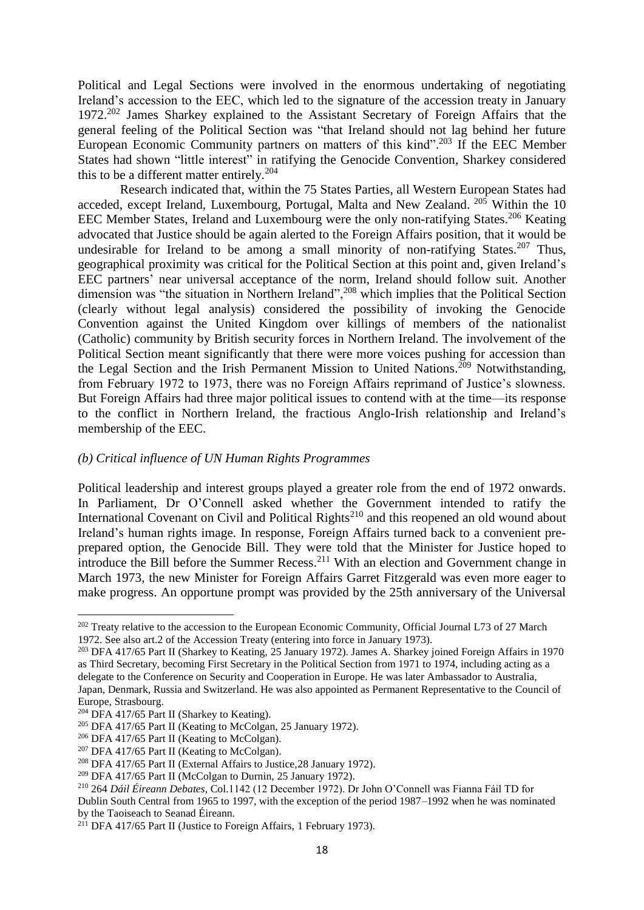Political and Legal Sections were involved in the enormous undertaking of negotiating Ireland's accession to the EEC, which led to the signature of the accession treaty in January 1972.<sup>202</sup> James Sharkey explained to the Assistant Secretary of Foreign Affairs that the general feeling of the Political Section was "that Ireland should not lag behind her future European Economic Community partners on matters of this kind". <sup>203</sup> If the EEC Member States had shown "little interest" in ratifying the Genocide Convention, Sharkey considered this to be a different matter entirely.<sup>204</sup>

Research indicated that, within the 75 States Parties, all Western European States had acceded, except Ireland, Luxembourg, Portugal, Malta and New Zealand. <sup>205</sup> Within the 10 EEC Member States, Ireland and Luxembourg were the only non-ratifying States.<sup>206</sup> Keating advocated that Justice should be again alerted to the Foreign Affairs position, that it would be undesirable for Ireland to be among a small minority of non-ratifying States.<sup>207</sup> Thus, geographical proximity was critical for the Political Section at this point and, given Ireland's EEC partners' near universal acceptance of the norm, Ireland should follow suit. Another dimension was "the situation in Northern Ireland",<sup>208</sup> which implies that the Political Section (clearly without legal analysis) considered the possibility of invoking the Genocide Convention against the United Kingdom over killings of members of the nationalist (Catholic) community by British security forces in Northern Ireland. The involvement of the Political Section meant significantly that there were more voices pushing for accession than the Legal Section and the Irish Permanent Mission to United Nations. <sup>209</sup> Notwithstanding, from February 1972 to 1973, there was no Foreign Affairs reprimand of Justice's slowness. But Foreign Affairs had three major political issues to contend with at the time—its response to the conflict in Northern Ireland, the fractious Anglo-Irish relationship and Ireland's membership of the EEC.

#### *(b) Critical influence of UN Human Rights Programmes*

Political leadership and interest groups played a greater role from the end of 1972 onwards. In Parliament, Dr O'Connell asked whether the Government intended to ratify the International Covenant on Civil and Political Rights<sup>210</sup> and this reopened an old wound about Ireland's human rights image. In response, Foreign Affairs turned back to a convenient preprepared option, the Genocide Bill. They were told that the Minister for Justice hoped to introduce the Bill before the Summer Recess.<sup>211</sup> With an election and Government change in March 1973, the new Minister for Foreign Affairs Garret Fitzgerald was even more eager to make progress. An opportune prompt was provided by the 25th anniversary of the Universal

<sup>&</sup>lt;sup>202</sup> Treaty relative to the accession to the European Economic Community, Official Journal L73 of 27 March 1972. See also art.2 of the Accession Treaty (entering into force in January 1973).

<sup>203</sup> DFA 417/65 Part II (Sharkey to Keating, 25 January 1972). James A. Sharkey joined Foreign Affairs in 1970 as Third Secretary, becoming First Secretary in the Political Section from 1971 to 1974, including acting as a delegate to the Conference on Security and Cooperation in Europe. He was later Ambassador to Australia, Japan, Denmark, Russia and Switzerland. He was also appointed as Permanent Representative to the Council of Europe, Strasbourg.

 $204$  DFA 417/65 Part II (Sharkey to Keating).

<sup>&</sup>lt;sup>205</sup> DFA 417/65 Part II (Keating to McColgan, 25 January 1972).

<sup>&</sup>lt;sup>206</sup> DFA 417/65 Part II (Keating to McColgan).

<sup>&</sup>lt;sup>207</sup> DFA 417/65 Part II (Keating to McColgan).

<sup>208</sup> DFA 417/65 Part II (External Affairs to Justice,28 January 1972).

<sup>209</sup> DFA 417/65 Part II (McColgan to Durnin, 25 January 1972).

<sup>210</sup> 264 *Dáil Éireann Debates*, Col.1142 (12 December 1972). Dr John O'Connell was Fianna Fáil TD for

Dublin South Central from 1965 to 1997, with the exception of the period 1987–1992 when he was nominated by the Taoiseach to Seanad Éireann.

 $211$  DFA 417/65 Part II (Justice to Foreign Affairs, 1 February 1973).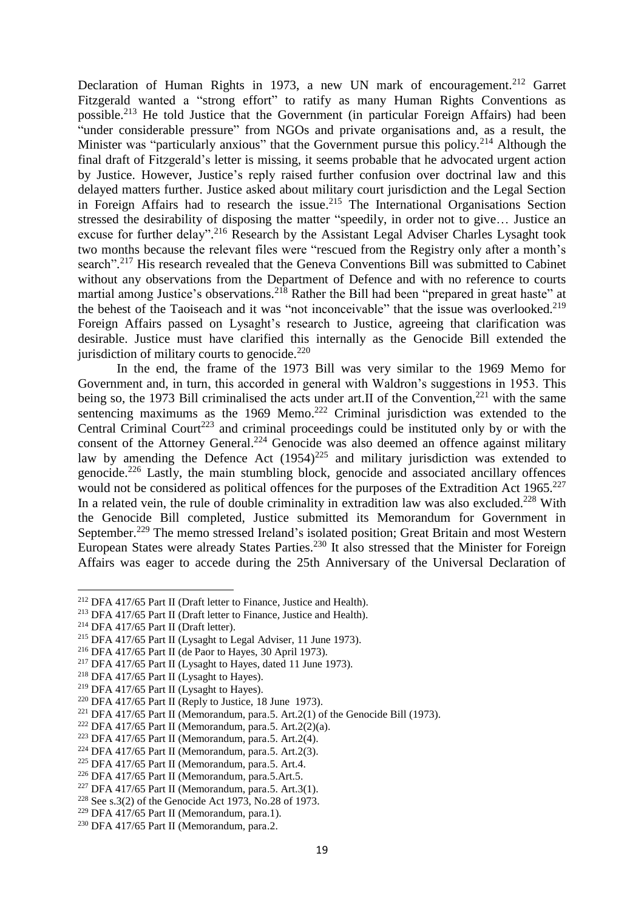Declaration of Human Rights in 1973, a new UN mark of encouragement.<sup>212</sup> Garret Fitzgerald wanted a "strong effort" to ratify as many Human Rights Conventions as possible.<sup>213</sup> He told Justice that the Government (in particular Foreign Affairs) had been "under considerable pressure" from NGOs and private organisations and, as a result, the Minister was "particularly anxious" that the Government pursue this policy.<sup>214</sup> Although the final draft of Fitzgerald's letter is missing, it seems probable that he advocated urgent action by Justice. However, Justice's reply raised further confusion over doctrinal law and this delayed matters further. Justice asked about military court jurisdiction and the Legal Section in Foreign Affairs had to research the issue. <sup>215</sup> The International Organisations Section stressed the desirability of disposing the matter "speedily, in order not to give… Justice an excuse for further delay".<sup>216</sup> Research by the Assistant Legal Adviser Charles Lysaght took two months because the relevant files were "rescued from the Registry only after a month's search".<sup>217</sup> His research revealed that the Geneva Conventions Bill was submitted to Cabinet without any observations from the Department of Defence and with no reference to courts martial among Justice's observations.<sup>218</sup> Rather the Bill had been "prepared in great haste" at the behest of the Taoiseach and it was "not inconceivable" that the issue was overlooked.<sup>219</sup> Foreign Affairs passed on Lysaght's research to Justice, agreeing that clarification was desirable. Justice must have clarified this internally as the Genocide Bill extended the jurisdiction of military courts to genocide. $^{220}$ 

In the end, the frame of the 1973 Bill was very similar to the 1969 Memo for Government and, in turn, this accorded in general with Waldron's suggestions in 1953. This being so, the 1973 Bill criminalised the acts under art. If of the Convention,  $221$  with the same sentencing maximums as the 1969 Memo.<sup>222</sup> Criminal jurisdiction was extended to the Central Criminal Court<sup>223</sup> and criminal proceedings could be instituted only by or with the consent of the Attorney General.<sup>224</sup> Genocide was also deemed an offence against military law by amending the Defence Act  $(1954)^{225}$  and military jurisdiction was extended to genocide.<sup>226</sup> Lastly, the main stumbling block, genocide and associated ancillary offences would not be considered as political offences for the purposes of the Extradition Act 1965.<sup>227</sup> In a related vein, the rule of double criminality in extradition law was also excluded.<sup>228</sup> With the Genocide Bill completed, Justice submitted its Memorandum for Government in September.<sup>229</sup> The memo stressed Ireland's isolated position; Great Britain and most Western European States were already States Parties.<sup>230</sup> It also stressed that the Minister for Foreign Affairs was eager to accede during the 25th Anniversary of the Universal Declaration of

<sup>214</sup> DFA 417/65 Part II (Draft letter).

<sup>212</sup> DFA 417/65 Part II (Draft letter to Finance, Justice and Health).

<sup>213</sup> DFA 417/65 Part II (Draft letter to Finance, Justice and Health).

<sup>215</sup> DFA 417/65 Part II (Lysaght to Legal Adviser, 11 June 1973).

<sup>216</sup> DFA 417/65 Part II (de Paor to Hayes, 30 April 1973).

<sup>&</sup>lt;sup>217</sup> DFA 417/65 Part II (Lysaght to Hayes, dated 11 June 1973).

<sup>218</sup> DFA 417/65 Part II (Lysaght to Hayes).

<sup>219</sup> DFA 417/65 Part II (Lysaght to Hayes).

 $220$  DFA 417/65 Part II (Reply to Justice, 18 June 1973).

<sup>&</sup>lt;sup>221</sup> DFA 417/65 Part II (Memorandum, para.5. Art.2(1) of the Genocide Bill (1973).

<sup>&</sup>lt;sup>222</sup> DFA 417/65 Part II (Memorandum, para.5. Art.2(2)(a).

<sup>&</sup>lt;sup>223</sup> DFA 417/65 Part II (Memorandum, para.5. Art.  $2(4)$ .

<sup>224</sup> DFA 417/65 Part II (Memorandum, para.5. Art.2(3).

<sup>225</sup> DFA 417/65 Part II (Memorandum, para.5. Art.4.

<sup>226</sup> DFA 417/65 Part II (Memorandum, para.5.Art.5.

<sup>&</sup>lt;sup>227</sup> DFA 417/65 Part II (Memorandum, para.5. Art.3(1).

<sup>&</sup>lt;sup>228</sup> See s.3(2) of the Genocide Act 1973, No.28 of 1973.

<sup>&</sup>lt;sup>229</sup> DFA 417/65 Part II (Memorandum, para.1).

<sup>230</sup> DFA 417/65 Part II (Memorandum, para.2.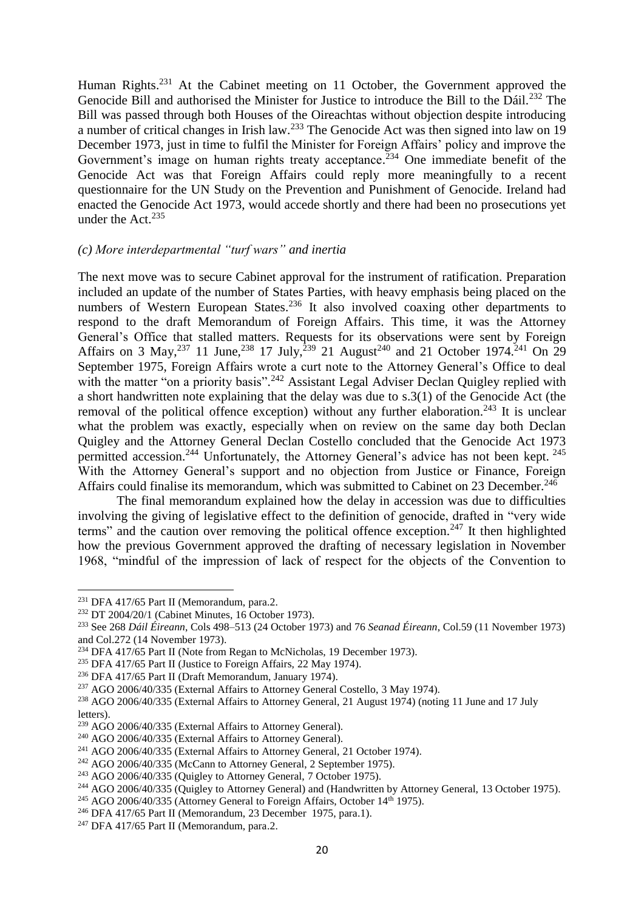Human Rights.<sup>231</sup> At the Cabinet meeting on 11 October, the Government approved the Genocide Bill and authorised the Minister for Justice to introduce the Bill to the Dáil.<sup>232</sup> The Bill was passed through both Houses of the Oireachtas without objection despite introducing a number of critical changes in Irish law.<sup>233</sup> The Genocide Act was then signed into law on 19 December 1973, just in time to fulfil the Minister for Foreign Affairs' policy and improve the Government's image on human rights treaty acceptance.<sup>234</sup> One immediate benefit of the Genocide Act was that Foreign Affairs could reply more meaningfully to a recent questionnaire for the UN Study on the Prevention and Punishment of Genocide. Ireland had enacted the Genocide Act 1973, would accede shortly and there had been no prosecutions yet under the Act.<sup>235</sup>

#### *(c) More interdepartmental "turf wars" and inertia*

The next move was to secure Cabinet approval for the instrument of ratification. Preparation included an update of the number of States Parties, with heavy emphasis being placed on the numbers of Western European States.<sup>236</sup> It also involved coaxing other departments to respond to the draft Memorandum of Foreign Affairs. This time, it was the Attorney General's Office that stalled matters. Requests for its observations were sent by Foreign Affairs on 3 May,  $^{237}$  11 June,  $^{238}$  17 July,  $^{239}$  21 August<sup>240</sup> and 21 October 1974.<sup>241</sup> On 29 September 1975, Foreign Affairs wrote a curt note to the Attorney General's Office to deal with the matter "on a priority basis".<sup>242</sup> Assistant Legal Adviser Declan Quigley replied with a short handwritten note explaining that the delay was due to s.3(1) of the Genocide Act (the removal of the political offence exception) without any further elaboration.<sup>243</sup> It is unclear what the problem was exactly, especially when on review on the same day both Declan Quigley and the Attorney General Declan Costello concluded that the Genocide Act 1973 permitted accession.<sup>244</sup> Unfortunately, the Attorney General's advice has not been kept.<sup>245</sup> With the Attorney General's support and no objection from Justice or Finance, Foreign Affairs could finalise its memorandum, which was submitted to Cabinet on 23 December.<sup>246</sup>

The final memorandum explained how the delay in accession was due to difficulties involving the giving of legislative effect to the definition of genocide, drafted in "very wide terms" and the caution over removing the political offence exception.<sup>247</sup> It then highlighted how the previous Government approved the drafting of necessary legislation in November 1968, "mindful of the impression of lack of respect for the objects of the Convention to

<sup>&</sup>lt;sup>231</sup> DFA 417/65 Part II (Memorandum, para.2.

<sup>232</sup> DT 2004/20/1 (Cabinet Minutes, 16 October 1973).

<sup>233</sup> See 268 *Dáil Éireann*, Cols 498–513 (24 October 1973) and 76 *Seanad Éireann*, Col.59 (11 November 1973) and Col.272 (14 November 1973).

<sup>&</sup>lt;sup>234</sup> DFA 417/65 Part II (Note from Regan to McNicholas, 19 December 1973).

<sup>235</sup> DFA 417/65 Part II (Justice to Foreign Affairs, 22 May 1974).

<sup>236</sup> DFA 417/65 Part II (Draft Memorandum, January 1974).

<sup>237</sup> AGO 2006/40/335 (External Affairs to Attorney General Costello, 3 May 1974).

<sup>238</sup> AGO 2006/40/335 (External Affairs to Attorney General, 21 August 1974) (noting 11 June and 17 July letters).

<sup>239</sup> AGO 2006/40/335 (External Affairs to Attorney General).

<sup>240</sup> AGO 2006/40/335 (External Affairs to Attorney General).

<sup>241</sup> AGO 2006/40/335 (External Affairs to Attorney General, 21 October 1974).

 $242$  AGO 2006/40/335 (McCann to Attorney General, 2 September 1975).

 $243$  AGO 2006/40/335 (Quigley to Attorney General, 7 October 1975).

<sup>&</sup>lt;sup>244</sup> AGO 2006/40/335 (Quigley to Attorney General) and (Handwritten by Attorney General, 13 October 1975).

<sup>&</sup>lt;sup>245</sup> AGO 2006/40/335 (Attorney General to Foreign Affairs, October 14<sup>th</sup> 1975).

 $246$  DFA 417/65 Part II (Memorandum, 23 December 1975, para.1).

<sup>&</sup>lt;sup>247</sup> DFA 417/65 Part II (Memorandum, para.2.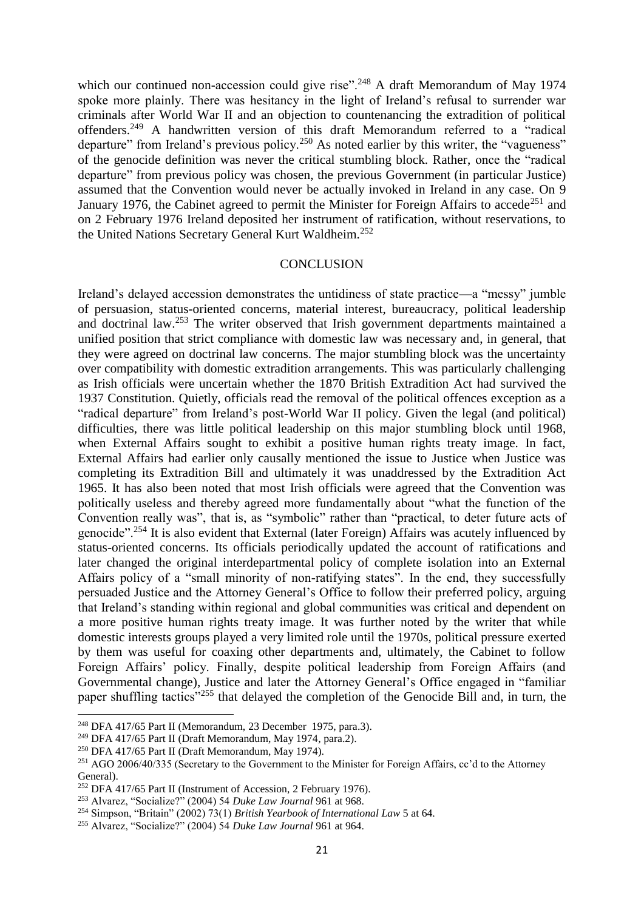which our continued non-accession could give rise".<sup>248</sup> A draft Memorandum of May 1974 spoke more plainly. There was hesitancy in the light of Ireland's refusal to surrender war criminals after World War II and an objection to countenancing the extradition of political offenders.<sup>249</sup> A handwritten version of this draft Memorandum referred to a "radical departure" from Ireland's previous policy.<sup>250</sup> As noted earlier by this writer, the "vagueness" of the genocide definition was never the critical stumbling block. Rather, once the "radical departure" from previous policy was chosen, the previous Government (in particular Justice) assumed that the Convention would never be actually invoked in Ireland in any case. On 9 January 1976, the Cabinet agreed to permit the Minister for Foreign Affairs to accede<sup>251</sup> and on 2 February 1976 Ireland deposited her instrument of ratification, without reservations, to the United Nations Secretary General Kurt Waldheim.<sup>252</sup>

#### **CONCLUSION**

Ireland's delayed accession demonstrates the untidiness of state practice—a "messy" jumble of persuasion, status-oriented concerns, material interest, bureaucracy, political leadership and doctrinal law.<sup>253</sup> The writer observed that Irish government departments maintained a unified position that strict compliance with domestic law was necessary and, in general, that they were agreed on doctrinal law concerns. The major stumbling block was the uncertainty over compatibility with domestic extradition arrangements. This was particularly challenging as Irish officials were uncertain whether the 1870 British Extradition Act had survived the 1937 Constitution. Quietly, officials read the removal of the political offences exception as a "radical departure" from Ireland's post-World War II policy. Given the legal (and political) difficulties, there was little political leadership on this major stumbling block until 1968, when External Affairs sought to exhibit a positive human rights treaty image. In fact, External Affairs had earlier only causally mentioned the issue to Justice when Justice was completing its Extradition Bill and ultimately it was unaddressed by the Extradition Act 1965. It has also been noted that most Irish officials were agreed that the Convention was politically useless and thereby agreed more fundamentally about "what the function of the Convention really was", that is, as "symbolic" rather than "practical, to deter future acts of genocide".<sup>254</sup> It is also evident that External (later Foreign) Affairs was acutely influenced by status-oriented concerns. Its officials periodically updated the account of ratifications and later changed the original interdepartmental policy of complete isolation into an External Affairs policy of a "small minority of non-ratifying states". In the end, they successfully persuaded Justice and the Attorney General's Office to follow their preferred policy, arguing that Ireland's standing within regional and global communities was critical and dependent on a more positive human rights treaty image. It was further noted by the writer that while domestic interests groups played a very limited role until the 1970s, political pressure exerted by them was useful for coaxing other departments and, ultimately, the Cabinet to follow Foreign Affairs' policy. Finally, despite political leadership from Foreign Affairs (and Governmental change), Justice and later the Attorney General's Office engaged in "familiar paper shuffling tactics"<sup>255</sup> that delayed the completion of the Genocide Bill and, in turn, the

 $\overline{a}$ 

<sup>248</sup> DFA 417/65 Part II (Memorandum, 23 December 1975, para.3).

<sup>249</sup> DFA 417/65 Part II (Draft Memorandum, May 1974, para.2).

 $250$  DFA 417/65 Part II (Draft Memorandum, May 1974).

<sup>251</sup> AGO 2006/40/335 (Secretary to the Government to the Minister for Foreign Affairs, cc'd to the Attorney General).

<sup>&</sup>lt;sup>252</sup> DFA 417/65 Part II (Instrument of Accession, 2 February 1976).

<sup>253</sup> Alvarez, "Socialize?" (2004) 54 *Duke Law Journal* 961 at 968.

<sup>254</sup> Simpson, "Britain" (2002) 73(1) *British Yearbook of International Law* 5 at 64.

<sup>255</sup> Alvarez, "Socialize?" (2004) 54 *Duke Law Journal* 961 at 964.